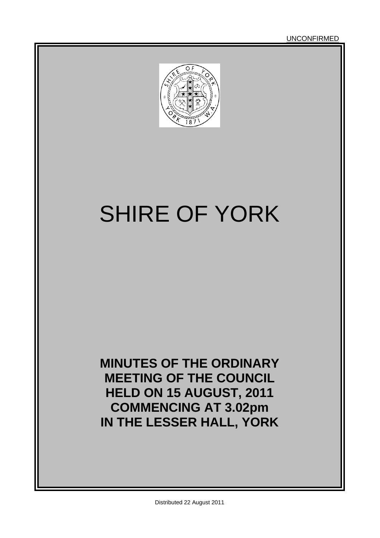

# SHIRE OF YORK

**MINUTES OF THE ORDINARY MEETING OF THE COUNCIL HELD ON 15 AUGUST, 2011 COMMENCING AT 3.02pm IN THE LESSER HALL, YORK**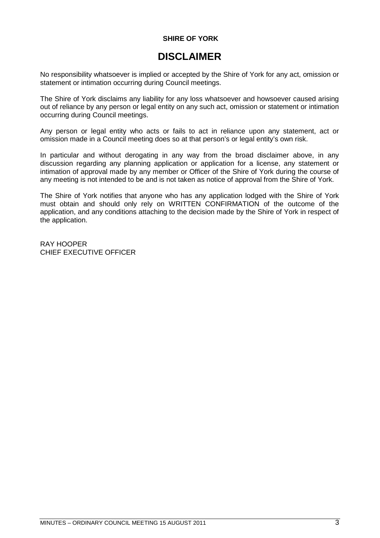#### **SHIRE OF YORK**

# **DISCLAIMER**

No responsibility whatsoever is implied or accepted by the Shire of York for any act, omission or statement or intimation occurring during Council meetings.

The Shire of York disclaims any liability for any loss whatsoever and howsoever caused arising out of reliance by any person or legal entity on any such act, omission or statement or intimation occurring during Council meetings.

Any person or legal entity who acts or fails to act in reliance upon any statement, act or omission made in a Council meeting does so at that person's or legal entity's own risk.

In particular and without derogating in any way from the broad disclaimer above, in any discussion regarding any planning application or application for a license, any statement or intimation of approval made by any member or Officer of the Shire of York during the course of any meeting is not intended to be and is not taken as notice of approval from the Shire of York.

The Shire of York notifies that anyone who has any application lodged with the Shire of York must obtain and should only rely on WRITTEN CONFIRMATION of the outcome of the application, and any conditions attaching to the decision made by the Shire of York in respect of the application.

RAY HOOPER CHIEF EXECUTIVE OFFICER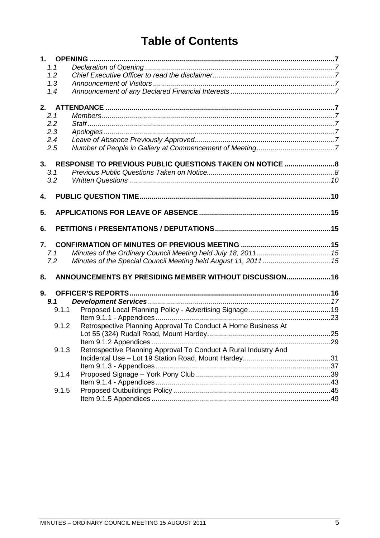# **Table of Contents**

| 1.1   |                                                                 |  |
|-------|-----------------------------------------------------------------|--|
| 1.2   |                                                                 |  |
| 1.3   |                                                                 |  |
| 1.4   |                                                                 |  |
|       |                                                                 |  |
| 2.1   |                                                                 |  |
| 2.2   |                                                                 |  |
| 2.3   |                                                                 |  |
| 2.4   |                                                                 |  |
| 2.5   |                                                                 |  |
|       | 3. RESPONSE TO PREVIOUS PUBLIC QUESTIONS TAKEN ON NOTICE  8     |  |
| 3.1   |                                                                 |  |
| 3.2   |                                                                 |  |
| 4.    |                                                                 |  |
| 5.    |                                                                 |  |
|       |                                                                 |  |
| 6.    |                                                                 |  |
| 7.    |                                                                 |  |
| 7.1   |                                                                 |  |
| 7.2   | Minutes of the Special Council Meeting held August 11, 2011 15  |  |
| 8.    | ANNOUNCEMENTS BY PRESIDING MEMBER WITHOUT DISCUSSION 16         |  |
| 9.    |                                                                 |  |
| 9.1   |                                                                 |  |
| 9.1.1 |                                                                 |  |
|       |                                                                 |  |
| 9.1.2 | Retrospective Planning Approval To Conduct A Home Business At   |  |
|       |                                                                 |  |
|       |                                                                 |  |
| 9.1.3 | Retrospective Planning Approval To Conduct A Rural Industry And |  |
|       |                                                                 |  |
|       |                                                                 |  |
|       |                                                                 |  |
| 9.1.4 |                                                                 |  |
|       |                                                                 |  |
| 9.1.5 |                                                                 |  |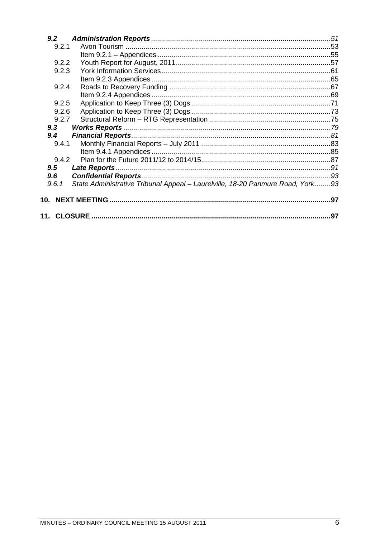| 9.2   |                                                                                |    |
|-------|--------------------------------------------------------------------------------|----|
| 9.2.1 |                                                                                |    |
|       |                                                                                |    |
| 9.2.2 |                                                                                |    |
| 9.2.3 |                                                                                |    |
|       |                                                                                |    |
| 9.2.4 |                                                                                |    |
|       |                                                                                |    |
| 9.2.5 |                                                                                |    |
| 9.2.6 |                                                                                |    |
| 9.2.7 |                                                                                |    |
| 9.3   |                                                                                |    |
| 9.4   |                                                                                |    |
| 9.4.1 |                                                                                |    |
|       |                                                                                |    |
| 9.4.2 |                                                                                |    |
| 9.5   |                                                                                |    |
| 9.6   |                                                                                |    |
| 9.6.1 | State Administrative Tribunal Appeal - Laurelville, 18-20 Panmure Road, York93 |    |
| 10.   |                                                                                |    |
|       |                                                                                |    |
|       |                                                                                | 97 |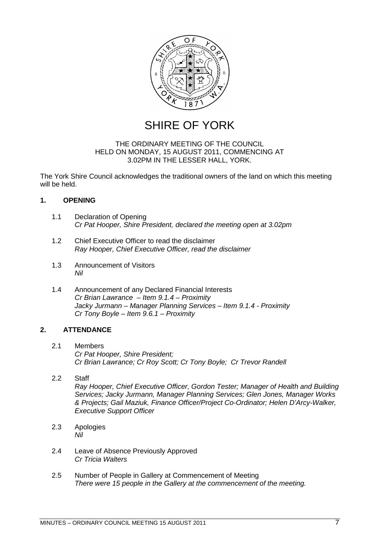

SHIRE OF YORK

#### THE ORDINARY MEETING OF THE COUNCIL HELD ON MONDAY, 15 AUGUST 2011, COMMENCING AT 3.02PM IN THE LESSER HALL, YORK.

The York Shire Council acknowledges the traditional owners of the land on which this meeting will be held.

### <span id="page-6-0"></span>**1. OPENING**

- <span id="page-6-1"></span>1.1 Declaration of Opening *Cr Pat Hooper, Shire President, declared the meeting open at 3.02pm*
- <span id="page-6-2"></span>1.2 Chief Executive Officer to read the disclaimer *Ray Hooper, Chief Executive Officer, read the disclaimer*
- <span id="page-6-3"></span>1.3 Announcement of Visitors *Nil*
- <span id="page-6-4"></span>1.4 Announcement of any Declared Financial Interests *Cr Brian Lawrance – Item 9.1.4 – Proximity Jacky Jurmann – Manager Planning Services – Item 9.1.4 - Proximity Cr Tony Boyle – Item 9.6.1 – Proximity*

### **2. ATTENDANCE**

- <span id="page-6-6"></span><span id="page-6-5"></span>2.1 Members *Cr Pat Hooper, Shire President; Cr Brian Lawrance; Cr Roy Scott; Cr Tony Boyle; Cr Trevor Randell*
- 2.2 Staff

<span id="page-6-7"></span>*Ray Hooper, Chief Executive Officer, Gordon Tester; Manager of Health and Building Services; Jacky Jurmann, Manager Planning Services; Glen Jones, Manager Works & Projects; Gail Maziuk, Finance Officer/Project Co-Ordinator; Helen D'Arcy-Walker, Executive Support Officer*

- <span id="page-6-8"></span>2.3 Apologies *Nil*
- <span id="page-6-9"></span>2.4 Leave of Absence Previously Approved *Cr Tricia Walters*
- <span id="page-6-10"></span>2.5 Number of People in Gallery at Commencement of Meeting *There were 15 people in the Gallery at the commencement of the meeting.*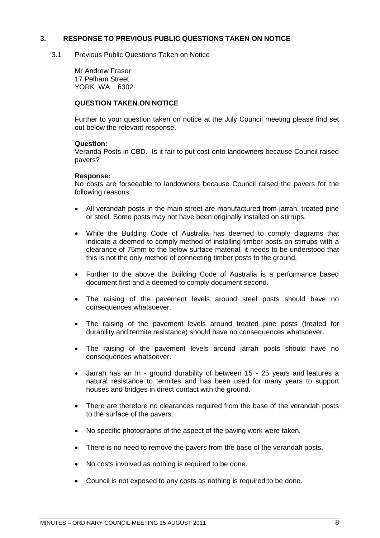#### **3. RESPONSE TO PREVIOUS PUBLIC QUESTIONS TAKEN ON NOTICE**

<span id="page-7-0"></span>3.1 Previous Public Questions Taken on Notice

<span id="page-7-1"></span>Mr Andrew Fraser 17 Pelham Street YORK WA 6302

#### **QUESTION TAKEN ON NOTICE**

Further to your question taken on notice at the July Council meeting please find set out below the relevant response.

#### **Question:**

Veranda Posts in CBD. Is it fair to put cost onto landowners because Council raised pavers?

#### **Response:**

No costs are forseeable to landowners because Council raised the pavers for the following reasons:

- All verandah posts in the main street are manufactured from jarrah, treated pine or steel. Some posts may not have been originally installed on stirrups.
- While the Building Code of Australia has deemed to comply diagrams that indicate a deemed to comply method of installing timber posts on stirrups with a clearance of 75mm to the below surface material, it needs to be understood that this is not the only method of connecting timber posts to the ground.
- Further to the above the Building Code of Australia is a performance based document first and a deemed to comply document second.
- The raising of the pavement levels around steel posts should have no consequences whatsoever.
- The raising of the pavement levels around treated pine posts (treated for durability and termite resistance) should have no consequences whatsoever.
- The raising of the pavement levels around jarrah posts should have no consequences whatsoever.
- Jarrah has an In ground durability of between 15 25 years and features a natural resistance to termites and has been used for many years to support houses and bridges in direct contact with the ground.
- There are therefore no clearances required from the base of the verandah posts to the surface of the pavers.
- No specific photographs of the aspect of the paving work were taken.
- There is no need to remove the pavers from the base of the verandah posts.
- No costs involved as nothing is required to be done.
- Council is not exposed to any costs as nothing is required to be done.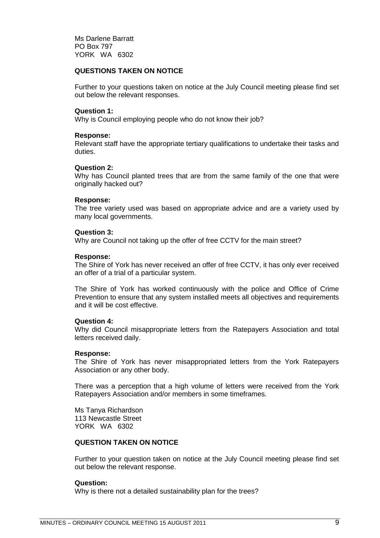Ms Darlene Barratt PO Box 797 YORK WA 6302

#### **QUESTIONS TAKEN ON NOTICE**

Further to your questions taken on notice at the July Council meeting please find set out below the relevant responses.

#### **Question 1:**

Why is Council employing people who do not know their job?

#### **Response:**

Relevant staff have the appropriate tertiary qualifications to undertake their tasks and duties.

#### **Question 2:**

Why has Council planted trees that are from the same family of the one that were originally hacked out?

#### **Response:**

The tree variety used was based on appropriate advice and are a variety used by many local governments.

#### **Question 3:**

Why are Council not taking up the offer of free CCTV for the main street?

#### **Response:**

The Shire of York has never received an offer of free CCTV, it has only ever received an offer of a trial of a particular system.

The Shire of York has worked continuously with the police and Office of Crime Prevention to ensure that any system installed meets all objectives and requirements and it will be cost effective.

#### **Question 4:**

Why did Council misappropriate letters from the Ratepayers Association and total letters received daily.

#### **Response:**

The Shire of York has never misappropriated letters from the York Ratepayers Association or any other body.

There was a perception that a high volume of letters were received from the York Ratepayers Association and/or members in some timeframes.

Ms Tanya Richardson 113 Newcastle Street YORK WA 6302

#### **QUESTION TAKEN ON NOTICE**

Further to your question taken on notice at the July Council meeting please find set out below the relevant response.

#### **Question:**

Why is there not a detailed sustainability plan for the trees?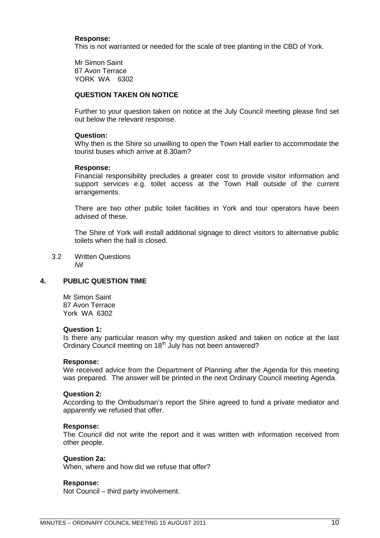#### **Response:**

This is not warranted or needed for the scale of tree planting in the CBD of York.

Mr Simon Saint 87 Avon Terrace YORK WA 6302

#### **QUESTION TAKEN ON NOTICE**

Further to your question taken on notice at the July Council meeting please find set out below the relevant response.

#### **Question:**

Why then is the Shire so unwilling to open the Town Hall earlier to accommodate the tourist buses which arrive at 8.30am?

#### **Response:**

Financial responsibility precludes a greater cost to provide visitor information and support services e.g. toilet access at the Town Hall outside of the current arrangements.

There are two other public toilet facilities in York and tour operators have been advised of these.

<span id="page-9-0"></span>The Shire of York will install additional signage to direct visitors to alternative public toilets when the hall is closed.

3.2 Written Questions *Nil*

#### **4. PUBLIC QUESTION TIME**

<span id="page-9-1"></span>Mr Simon Saint 87 Avon Terrace York WA 6302

#### **Question 1:**

Is there any particular reason why my question asked and taken on notice at the last Ordinary Council meeting on 18<sup>th</sup> July has not been answered?

#### **Response:**

We received advice from the Department of Planning after the Agenda for this meeting was prepared. The answer will be printed in the next Ordinary Council meeting Agenda.

#### **Question 2:**

According to the Ombudsman's report the Shire agreed to fund a private mediator and apparently we refused that offer.

#### **Response:**

The Council did not write the report and it was written with information received from other people.

#### **Question 2a:**

When, where and how did we refuse that offer?

#### **Response:**

Not Council – third party involvement.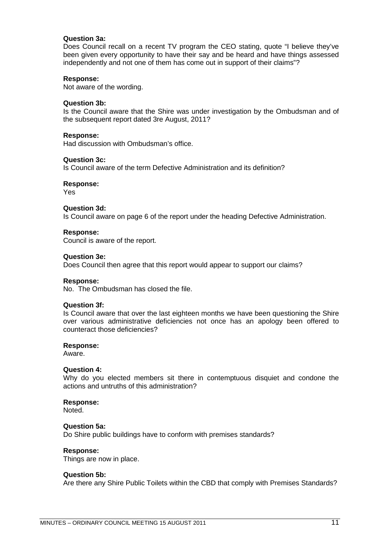#### **Question 3a:**

Does Council recall on a recent TV program the CEO stating, quote "I believe they've been given every opportunity to have their say and be heard and have things assessed independently and not one of them has come out in support of their claims"?

#### **Response:**

Not aware of the wording.

#### **Question 3b:**

Is the Council aware that the Shire was under investigation by the Ombudsman and of the subsequent report dated 3re August, 2011?

#### **Response:**

Had discussion with Ombudsman's office.

#### **Question 3c:**

Is Council aware of the term Defective Administration and its definition?

#### **Response:**

Yes

#### **Question 3d:**

Is Council aware on page 6 of the report under the heading Defective Administration.

#### **Response:**

Council is aware of the report.

#### **Question 3e:**

Does Council then agree that this report would appear to support our claims?

#### **Response:**

No. The Ombudsman has closed the file.

#### **Question 3f:**

Is Council aware that over the last eighteen months we have been questioning the Shire over various administrative deficiencies not once has an apology been offered to counteract those deficiencies?

#### **Response:**

Aware.

#### **Question 4:**

Why do you elected members sit there in contemptuous disquiet and condone the actions and untruths of this administration?

#### **Response:**

Noted.

#### **Question 5a:**

Do Shire public buildings have to conform with premises standards?

#### **Response:**

Things are now in place.

#### **Question 5b:**

Are there any Shire Public Toilets within the CBD that comply with Premises Standards?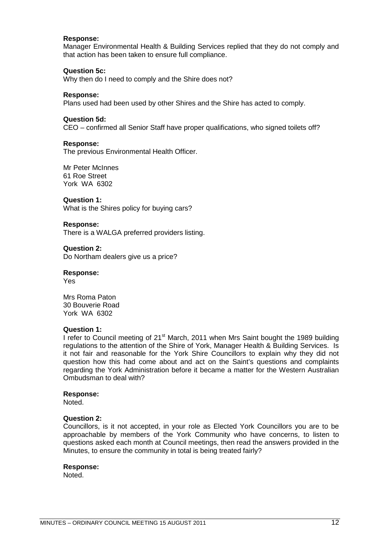#### **Response:**

Manager Environmental Health & Building Services replied that they do not comply and that action has been taken to ensure full compliance.

#### **Question 5c:**

Why then do I need to comply and the Shire does not?

#### **Response:**

Plans used had been used by other Shires and the Shire has acted to comply.

#### **Question 5d:**

CEO – confirmed all Senior Staff have proper qualifications, who signed toilets off?

#### **Response:**

The previous Environmental Health Officer.

Mr Peter McInnes 61 Roe Street York WA 6302

#### **Question 1:**

What is the Shires policy for buying cars?

#### **Response:**

There is a WALGA preferred providers listing.

#### **Question 2:**

Do Northam dealers give us a price?

#### **Response:**

Yes

Mrs Roma Paton 30 Bouverie Road York WA 6302

#### **Question 1:**

I refer to Council meeting of 21<sup>st</sup> March, 2011 when Mrs Saint bought the 1989 building regulations to the attention of the Shire of York, Manager Health & Building Services. Is it not fair and reasonable for the York Shire Councillors to explain why they did not question how this had come about and act on the Saint's questions and complaints regarding the York Administration before it became a matter for the Western Australian Ombudsman to deal with?

#### **Response:**

Noted.

#### **Question 2:**

Councillors, is it not accepted, in your role as Elected York Councillors you are to be approachable by members of the York Community who have concerns, to listen to questions asked each month at Council meetings, then read the answers provided in the Minutes, to ensure the community in total is being treated fairly?

#### **Response:**

Noted.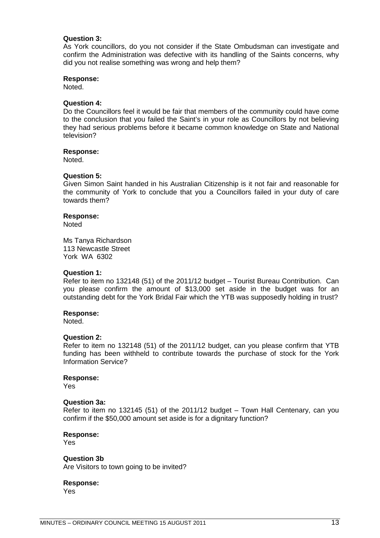#### **Question 3:**

As York councillors, do you not consider if the State Ombudsman can investigate and confirm the Administration was defective with its handling of the Saints concerns, why did you not realise something was wrong and help them?

#### **Response:**

Noted.

#### **Question 4:**

Do the Councillors feel it would be fair that members of the community could have come to the conclusion that you failed the Saint's in your role as Councillors by not believing they had serious problems before it became common knowledge on State and National television?

#### **Response:**

Noted.

#### **Question 5:**

Given Simon Saint handed in his Australian Citizenship is it not fair and reasonable for the community of York to conclude that you a Councillors failed in your duty of care towards them?

#### **Response:**

**Noted** 

Ms Tanya Richardson 113 Newcastle Street York WA 6302

#### **Question 1:**

Refer to item no 132148 (51) of the 2011/12 budget – Tourist Bureau Contribution. Can you please confirm the amount of \$13,000 set aside in the budget was for an outstanding debt for the York Bridal Fair which the YTB was supposedly holding in trust?

#### **Response:**

Noted.

#### **Question 2:**

Refer to item no 132148 (51) of the 2011/12 budget, can you please confirm that YTB funding has been withheld to contribute towards the purchase of stock for the York Information Service?

#### **Response:**

Yes

#### **Question 3a:**

Refer to item no 132145 (51) of the 2011/12 budget – Town Hall Centenary, can you confirm if the \$50,000 amount set aside is for a dignitary function?

#### **Response:**

Yes

#### **Question 3b**

Are Visitors to town going to be invited?

**Response:** Yes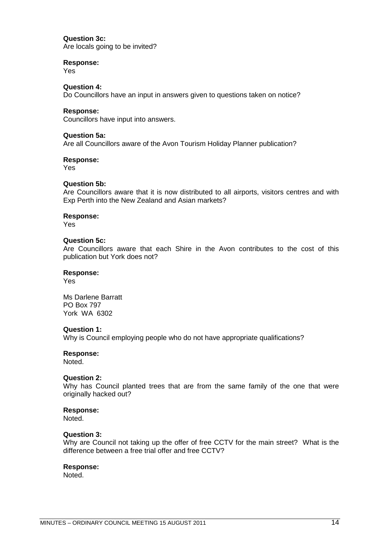#### **Question 3c:**

Are locals going to be invited?

#### **Response:**

Yes

**Question 4:** Do Councillors have an input in answers given to questions taken on notice?

#### **Response:**

Councillors have input into answers.

#### **Question 5a:**

Are all Councillors aware of the Avon Tourism Holiday Planner publication?

#### **Response:**

Yes

#### **Question 5b:**

Are Councillors aware that it is now distributed to all airports, visitors centres and with Exp Perth into the New Zealand and Asian markets?

#### **Response:**

Yes

#### **Question 5c:**

Are Councillors aware that each Shire in the Avon contributes to the cost of this publication but York does not?

#### **Response:**

Yes

Ms Darlene Barratt PO Box 797 York WA 6302

#### **Question 1:**

Why is Council employing people who do not have appropriate qualifications?

#### **Response:**

Noted.

#### **Question 2:**

Why has Council planted trees that are from the same family of the one that were originally hacked out?

#### **Response:**

Noted.

#### **Question 3:**

Why are Council not taking up the offer of free CCTV for the main street? What is the difference between a free trial offer and free CCTV?

#### **Response:**

Noted.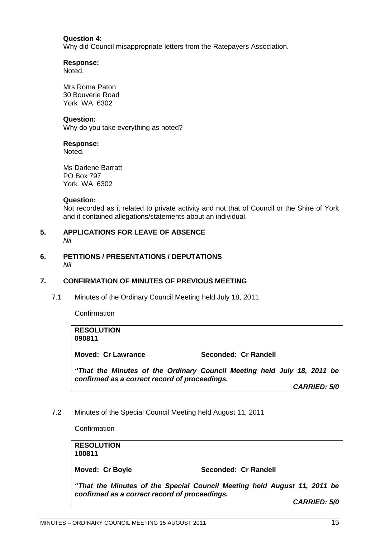#### **Question 4:**

Why did Council misappropriate letters from the Ratepayers Association.

#### **Response:**

Noted.

Mrs Roma Paton 30 Bouverie Road York WA 6302

#### **Question:**

Why do you take everything as noted?

#### **Response:**

Noted.

Ms Darlene Barratt PO Box 797 York WA 6302

#### **Question:**

<span id="page-14-0"></span>Not recorded as it related to private activity and not that of Council or the Shire of York and it contained allegations/statements about an individual.

#### **5. APPLICATIONS FOR LEAVE OF ABSENCE** *Nil*

<span id="page-14-1"></span>**6. PETITIONS / PRESENTATIONS / DEPUTATIONS** *Nil*

#### **7. CONFIRMATION OF MINUTES OF PREVIOUS MEETING**

<span id="page-14-2"></span>7.1 Minutes of the Ordinary Council Meeting held July 18, 2011

<span id="page-14-3"></span>**Confirmation** 

| <b>RESOLUTION</b><br>090811                   |                                                                         |
|-----------------------------------------------|-------------------------------------------------------------------------|
| <b>Moved: Cr Lawrance</b>                     | Seconded: Cr Randell                                                    |
| confirmed as a correct record of proceedings. | "That the Minutes of the Ordinary Council Meeting held July 18, 2011 be |

*CARRIED: 5/0*

7.2 Minutes of the Special Council Meeting held August 11, 2011

<span id="page-14-4"></span>**Confirmation** 

**RESOLUTION 100811** Moved: Cr Boyle **Seconded: Cr Randell** 

*"That the Minutes of the Special Council Meeting held August 11, 2011 be confirmed as a correct record of proceedings.*

*CARRIED: 5/0*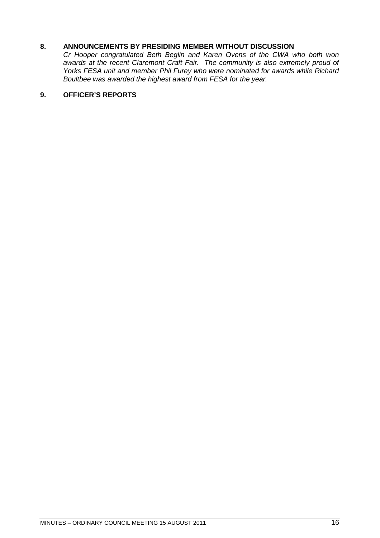### **8. ANNOUNCEMENTS BY PRESIDING MEMBER WITHOUT DISCUSSION**

<span id="page-15-0"></span>*Cr Hooper congratulated Beth Beglin and Karen Ovens of the CWA who both won awards at the recent Claremont Craft Fair. The community is also extremely proud of Yorks FESA unit and member Phil Furey who were nominated for awards while Richard Boultbee was awarded the highest award from FESA for the year.*

### <span id="page-15-1"></span>**9. OFFICER'S REPORTS**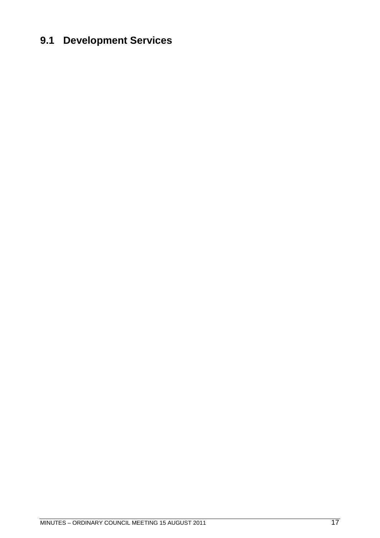# <span id="page-16-0"></span>**9.1 Development Services**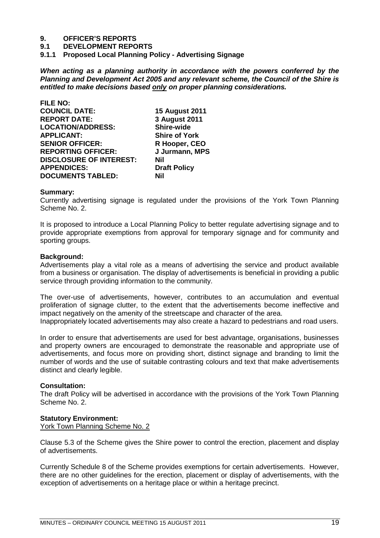# **9. OFFICER'S REPORTS**

**9.1 DEVELOPMENT REPORTS**

<span id="page-18-0"></span>**9.1.1 Proposed Local Planning Policy - Advertising Signage**

*When acting as a planning authority in accordance with the powers conferred by the Planning and Development Act 2005 and any relevant scheme, the Council of the Shire is entitled to make decisions based only on proper planning considerations.*

| <b>FILE NO:</b>                |                       |
|--------------------------------|-----------------------|
| <b>COUNCIL DATE:</b>           | <b>15 August 2011</b> |
| <b>REPORT DATE:</b>            | 3 August 2011         |
| <b>LOCATION/ADDRESS:</b>       | <b>Shire-wide</b>     |
| <b>APPLICANT:</b>              | <b>Shire of York</b>  |
| <b>SENIOR OFFICER:</b>         | R Hooper, CEO         |
| <b>REPORTING OFFICER:</b>      | J Jurmann, MPS        |
| <b>DISCLOSURE OF INTEREST:</b> | Nil                   |
| <b>APPENDICES:</b>             | <b>Draft Policy</b>   |
| <b>DOCUMENTS TABLED:</b>       | Nil                   |

#### **Summary:**

Currently advertising signage is regulated under the provisions of the York Town Planning Scheme No. 2.

It is proposed to introduce a Local Planning Policy to better regulate advertising signage and to provide appropriate exemptions from approval for temporary signage and for community and sporting groups.

#### **Background:**

Advertisements play a vital role as a means of advertising the service and product available from a business or organisation. The display of advertisements is beneficial in providing a public service through providing information to the community.

The over-use of advertisements, however, contributes to an accumulation and eventual proliferation of signage clutter, to the extent that the advertisements become ineffective and impact negatively on the amenity of the streetscape and character of the area.

Inappropriately located advertisements may also create a hazard to pedestrians and road users.

In order to ensure that advertisements are used for best advantage, organisations, businesses and property owners are encouraged to demonstrate the reasonable and appropriate use of advertisements, and focus more on providing short, distinct signage and branding to limit the number of words and the use of suitable contrasting colours and text that make advertisements distinct and clearly legible.

#### **Consultation:**

The draft Policy will be advertised in accordance with the provisions of the York Town Planning Scheme No. 2.

#### **Statutory Environment:**

York Town Planning Scheme No. 2

Clause 5.3 of the Scheme gives the Shire power to control the erection, placement and display of advertisements.

Currently Schedule 8 of the Scheme provides exemptions for certain advertisements. However, there are no other guidelines for the erection, placement or display of advertisements, with the exception of advertisements on a heritage place or within a heritage precinct.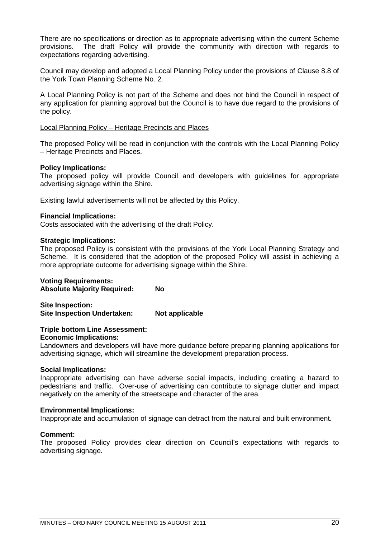There are no specifications or direction as to appropriate advertising within the current Scheme provisions. The draft Policy will provide the community with direction with regards to expectations regarding advertising.

Council may develop and adopted a Local Planning Policy under the provisions of Clause 8.8 of the York Town Planning Scheme No. 2.

A Local Planning Policy is not part of the Scheme and does not bind the Council in respect of any application for planning approval but the Council is to have due regard to the provisions of the policy.

#### Local Planning Policy – Heritage Precincts and Places

The proposed Policy will be read in conjunction with the controls with the Local Planning Policy – Heritage Precincts and Places.

#### **Policy Implications:**

The proposed policy will provide Council and developers with guidelines for appropriate advertising signage within the Shire.

Existing lawful advertisements will not be affected by this Policy.

#### **Financial Implications:**

Costs associated with the advertising of the draft Policy.

#### **Strategic Implications:**

The proposed Policy is consistent with the provisions of the York Local Planning Strategy and Scheme. It is considered that the adoption of the proposed Policy will assist in achieving a more appropriate outcome for advertising signage within the Shire.

# **Voting Requirements:**

**Absolute Majority Required: No**

**Site Inspection: Site Inspection Undertaken: Not applicable**

## **Triple bottom Line Assessment:**

**Economic Implications:**

Landowners and developers will have more guidance before preparing planning applications for advertising signage, which will streamline the development preparation process.

#### **Social Implications:**

Inappropriate advertising can have adverse social impacts, including creating a hazard to pedestrians and traffic. Over-use of advertising can contribute to signage clutter and impact negatively on the amenity of the streetscape and character of the area.

#### **Environmental Implications:**

Inappropriate and accumulation of signage can detract from the natural and built environment.

#### **Comment:**

The proposed Policy provides clear direction on Council's expectations with regards to advertising signage.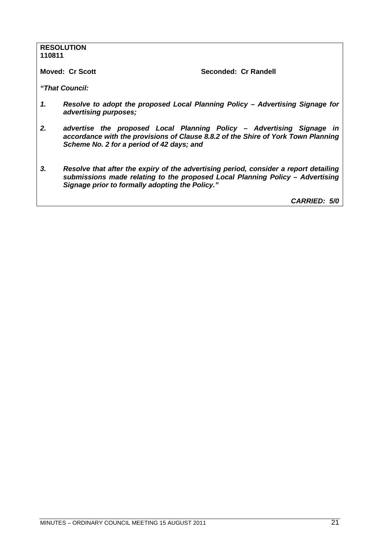# **RESOLUTION 110811 Moved: Cr Scott** Seconded: Cr Randell *"That Council: 1. Resolve to adopt the proposed Local Planning Policy – Advertising Signage for advertising purposes; 2. advertise the proposed Local Planning Policy – Advertising Signage in accordance with the provisions of Clause 8.8.2 of the Shire of York Town Planning Scheme No. 2 for a period of 42 days; and 3. Resolve that after the expiry of the advertising period, consider a report detailing submissions made relating to the proposed Local Planning Policy – Advertising Signage prior to formally adopting the Policy." CARRIED: 5/0*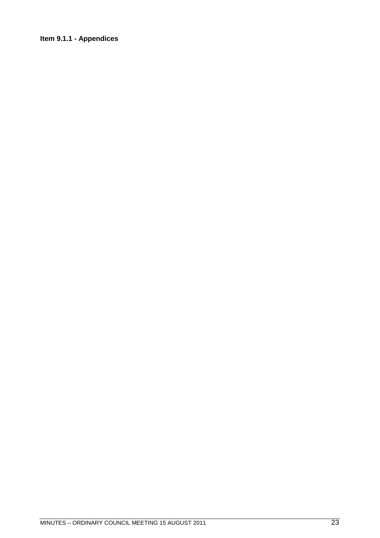### <span id="page-22-0"></span>**Item 9.1.1 - Appendices**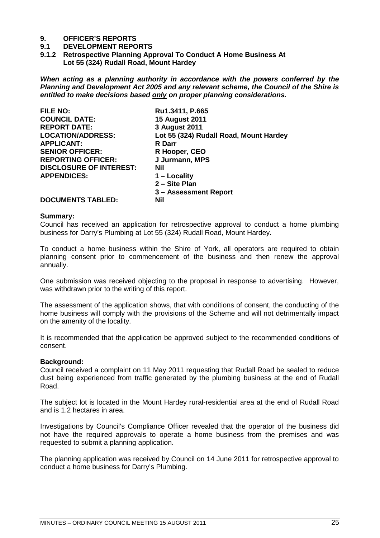# **9. OFFICER'S REPORTS**

#### **9.1 DEVELOPMENT REPORTS**

<span id="page-24-0"></span>**9.1.2 Retrospective Planning Approval To Conduct A Home Business At Lot 55 (324) Rudall Road, Mount Hardey**

*When acting as a planning authority in accordance with the powers conferred by the Planning and Development Act 2005 and any relevant scheme, the Council of the Shire is entitled to make decisions based only on proper planning considerations.*

| <b>FILE NO:</b>                | Ru1.3411, P.665                        |
|--------------------------------|----------------------------------------|
| <b>COUNCIL DATE:</b>           | <b>15 August 2011</b>                  |
| <b>REPORT DATE:</b>            | 3 August 2011                          |
| <b>LOCATION/ADDRESS:</b>       | Lot 55 (324) Rudall Road, Mount Hardey |
| <b>APPLICANT:</b>              | <b>R</b> Darr                          |
| <b>SENIOR OFFICER:</b>         | R Hooper, CEO                          |
| <b>REPORTING OFFICER:</b>      | J Jurmann, MPS                         |
| <b>DISCLOSURE OF INTEREST:</b> | Nil                                    |
| <b>APPENDICES:</b>             | $1 -$ Locality                         |
|                                | 2 - Site Plan                          |
|                                | 3 - Assessment Report                  |
| <b>DOCUMENTS TABLED:</b>       | Nil                                    |

#### **Summary:**

Council has received an application for retrospective approval to conduct a home plumbing business for Darry's Plumbing at Lot 55 (324) Rudall Road, Mount Hardey.

To conduct a home business within the Shire of York, all operators are required to obtain planning consent prior to commencement of the business and then renew the approval annually.

One submission was received objecting to the proposal in response to advertising. However, was withdrawn prior to the writing of this report.

The assessment of the application shows, that with conditions of consent, the conducting of the home business will comply with the provisions of the Scheme and will not detrimentally impact on the amenity of the locality.

It is recommended that the application be approved subject to the recommended conditions of consent.

#### **Background:**

Council received a complaint on 11 May 2011 requesting that Rudall Road be sealed to reduce dust being experienced from traffic generated by the plumbing business at the end of Rudall Road.

The subject lot is located in the Mount Hardey rural-residential area at the end of Rudall Road and is 1.2 hectares in area.

Investigations by Council's Compliance Officer revealed that the operator of the business did not have the required approvals to operate a home business from the premises and was requested to submit a planning application.

The planning application was received by Council on 14 June 2011 for retrospective approval to conduct a home business for Darry's Plumbing.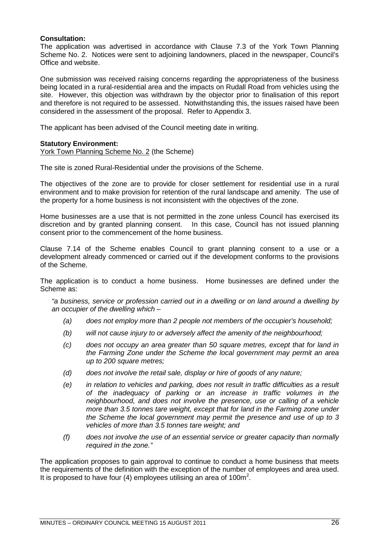#### **Consultation:**

The application was advertised in accordance with Clause 7.3 of the York Town Planning Scheme No. 2. Notices were sent to adjoining landowners, placed in the newspaper, Council's Office and website.

One submission was received raising concerns regarding the appropriateness of the business being located in a rural-residential area and the impacts on Rudall Road from vehicles using the site. However, this objection was withdrawn by the objector prior to finalisation of this report and therefore is not required to be assessed. Notwithstanding this, the issues raised have been considered in the assessment of the proposal. Refer to Appendix 3.

The applicant has been advised of the Council meeting date in writing.

#### **Statutory Environment:**

York Town Planning Scheme No. 2 (the Scheme)

The site is zoned Rural-Residential under the provisions of the Scheme.

The objectives of the zone are to provide for closer settlement for residential use in a rural environment and to make provision for retention of the rural landscape and amenity. The use of the property for a home business is not inconsistent with the objectives of the zone.

Home businesses are a use that is not permitted in the zone unless Council has exercised its discretion and by granted planning consent. In this case, Council has not issued planning consent prior to the commencement of the home business.

Clause 7.14 of the Scheme enables Council to grant planning consent to a use or a development already commenced or carried out if the development conforms to the provisions of the Scheme.

The application is to conduct a home business. Home businesses are defined under the Scheme as:

*"a business, service or profession carried out in a dwelling or on land around a dwelling by an occupier of the dwelling which –*

- *(a) does not employ more than 2 people not members of the occupier's household;*
- *(b) will not cause injury to or adversely affect the amenity of the neighbourhood;*
- *(c) does not occupy an area greater than 50 square metres, except that for land in the Farming Zone under the Scheme the local government may permit an area up to 200 square metres;*
- *(d) does not involve the retail sale, display or hire of goods of any nature;*
- *(e) in relation to vehicles and parking, does not result in traffic difficulties as a result of the inadequacy of parking or an increase in traffic volumes in the neighbourhood, and does not involve the presence, use or calling of a vehicle more than 3.5 tonnes tare weight, except that for land in the Farming zone under the Scheme the local government may permit the presence and use of up to 3 vehicles of more than 3.5 tonnes tare weight; and*
- *(f) does not involve the use of an essential service or greater capacity than normally required in the zone."*

The application proposes to gain approval to continue to conduct a home business that meets the requirements of the definition with the exception of the number of employees and area used. It is proposed to have four (4) employees utilising an area of 100m<sup>2</sup>.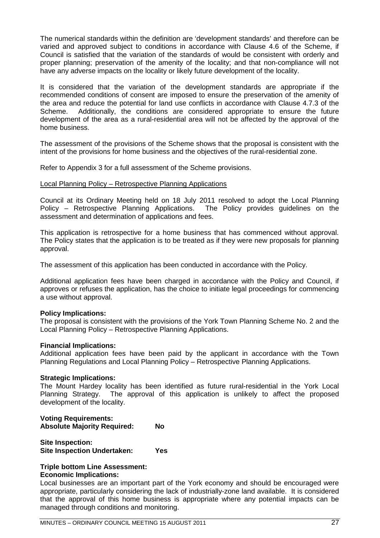The numerical standards within the definition are 'development standards' and therefore can be varied and approved subject to conditions in accordance with Clause 4.6 of the Scheme, if Council is satisfied that the variation of the standards of would be consistent with orderly and proper planning; preservation of the amenity of the locality; and that non-compliance will not have any adverse impacts on the locality or likely future development of the locality.

It is considered that the variation of the development standards are appropriate if the recommended conditions of consent are imposed to ensure the preservation of the amenity of the area and reduce the potential for land use conflicts in accordance with Clause 4.7.3 of the Scheme. Additionally, the conditions are considered appropriate to ensure the future development of the area as a rural-residential area will not be affected by the approval of the home business.

The assessment of the provisions of the Scheme shows that the proposal is consistent with the intent of the provisions for home business and the objectives of the rural-residential zone.

Refer to Appendix 3 for a full assessment of the Scheme provisions.

#### Local Planning Policy – Retrospective Planning Applications

Council at its Ordinary Meeting held on 18 July 2011 resolved to adopt the Local Planning Policy – Retrospective Planning Applications. The Policy provides guidelines on the assessment and determination of applications and fees.

This application is retrospective for a home business that has commenced without approval. The Policy states that the application is to be treated as if they were new proposals for planning approval.

The assessment of this application has been conducted in accordance with the Policy.

Additional application fees have been charged in accordance with the Policy and Council, if approves or refuses the application, has the choice to initiate legal proceedings for commencing a use without approval.

#### **Policy Implications:**

The proposal is consistent with the provisions of the York Town Planning Scheme No. 2 and the Local Planning Policy – Retrospective Planning Applications.

#### **Financial Implications:**

Additional application fees have been paid by the applicant in accordance with the Town Planning Regulations and Local Planning Policy – Retrospective Planning Applications.

#### **Strategic Implications:**

The Mount Hardey locality has been identified as future rural-residential in the York Local Planning Strategy. The approval of this application is unlikely to affect the proposed development of the locality.

### **Voting Requirements: Absolute Majority Required: No**

| Site Inspection:                   |     |
|------------------------------------|-----|
| <b>Site Inspection Undertaken:</b> | Yes |

#### **Triple bottom Line Assessment: Economic Implications:**

Local businesses are an important part of the York economy and should be encouraged were appropriate, particularly considering the lack of industrially-zone land available. It is considered that the approval of this home business is appropriate where any potential impacts can be managed through conditions and monitoring.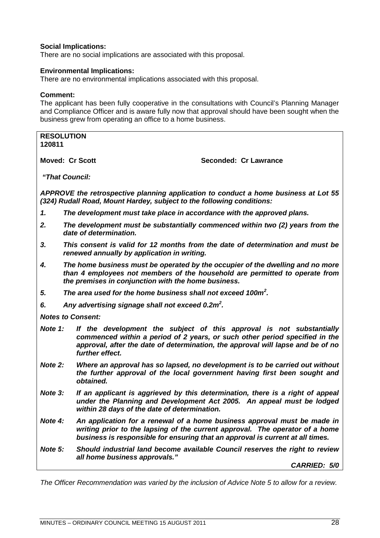#### **Social Implications:**

There are no social implications are associated with this proposal.

#### **Environmental Implications:**

There are no environmental implications associated with this proposal.

#### **Comment:**

The applicant has been fully cooperative in the consultations with Council's Planning Manager and Compliance Officer and is aware fully now that approval should have been sought when the business grew from operating an office to a home business.

| <b>RESOLUTION</b><br>120811 |                                                                                                                                                              |                                                                                                                                                                                                                                            |  |  |
|-----------------------------|--------------------------------------------------------------------------------------------------------------------------------------------------------------|--------------------------------------------------------------------------------------------------------------------------------------------------------------------------------------------------------------------------------------------|--|--|
|                             | <b>Moved: Cr Scott</b>                                                                                                                                       | Seconded: Cr Lawrance                                                                                                                                                                                                                      |  |  |
|                             | "That Council:                                                                                                                                               |                                                                                                                                                                                                                                            |  |  |
|                             | APPROVE the retrospective planning application to conduct a home business at Lot 55<br>(324) Rudall Road, Mount Hardey, subject to the following conditions: |                                                                                                                                                                                                                                            |  |  |
| 1.                          |                                                                                                                                                              | The development must take place in accordance with the approved plans.                                                                                                                                                                     |  |  |
| 2.                          | date of determination.                                                                                                                                       | The development must be substantially commenced within two (2) years from the                                                                                                                                                              |  |  |
| 3.                          | renewed annually by application in writing.                                                                                                                  | This consent is valid for 12 months from the date of determination and must be                                                                                                                                                             |  |  |
| 4.                          |                                                                                                                                                              | The home business must be operated by the occupier of the dwelling and no more<br>than 4 employees not members of the household are permitted to operate from<br>the premises in conjunction with the home business.                       |  |  |
| 5.                          | The area used for the home business shall not exceed 100m <sup>2</sup> .                                                                                     |                                                                                                                                                                                                                                            |  |  |
| 6.                          |                                                                                                                                                              | Any advertising signage shall not exceed 0.2m <sup>2</sup> .                                                                                                                                                                               |  |  |
|                             | <b>Notes to Consent:</b>                                                                                                                                     |                                                                                                                                                                                                                                            |  |  |
| Note 1:                     | further effect.                                                                                                                                              | If the development the subject of this approval is not substantially<br>commenced within a period of 2 years, or such other period specified in the<br>approval, after the date of determination, the approval will lapse and be of no     |  |  |
| Note 2:                     | obtained.                                                                                                                                                    | Where an approval has so lapsed, no development is to be carried out without<br>the further approval of the local government having first been sought and                                                                                  |  |  |
| <b>Note 3:</b>              |                                                                                                                                                              | If an applicant is aggrieved by this determination, there is a right of appeal<br>under the Planning and Development Act 2005. An appeal must be lodged<br>within 28 days of the date of determination.                                    |  |  |
| Note 4:                     |                                                                                                                                                              | An application for a renewal of a home business approval must be made in<br>writing prior to the lapsing of the current approval. The operator of a home<br>business is responsible for ensuring that an approval is current at all times. |  |  |
| Note 5:                     | all home business approvals."                                                                                                                                | Should industrial land become available Council reserves the right to review                                                                                                                                                               |  |  |

*CARRIED: 5/0*

<span id="page-27-0"></span>*The Officer Recommendation was varied by the inclusion of Advice Note 5 to allow for a review.*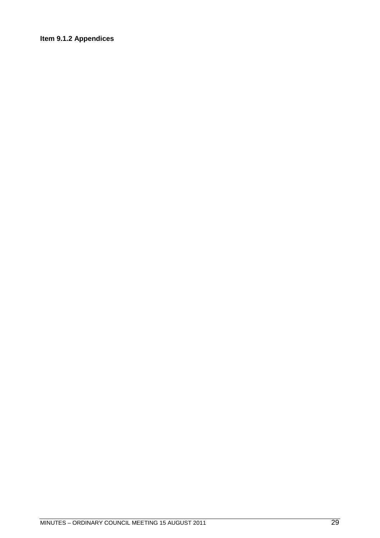### **Item 9.1.2 Appendices**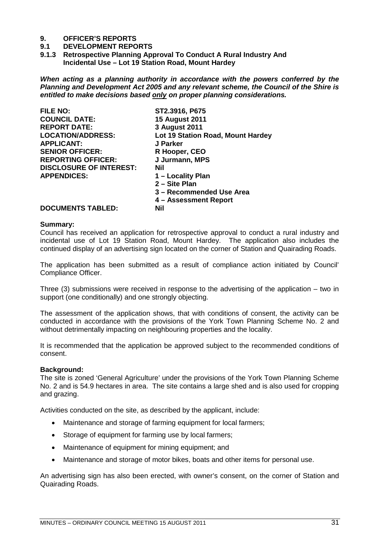# **9. OFFICER'S REPORTS**

#### **9.1 DEVELOPMENT REPORTS**

<span id="page-30-1"></span><span id="page-30-0"></span>**9.1.3 Retrospective Planning Approval To Conduct A Rural Industry And Incidental Use – Lot 19 Station Road, Mount Hardey**

*When acting as a planning authority in accordance with the powers conferred by the Planning and Development Act 2005 and any relevant scheme, the Council of the Shire is entitled to make decisions based only on proper planning considerations.*

| ST2.3916, P675                    |
|-----------------------------------|
| <b>15 August 2011</b>             |
| 3 August 2011                     |
| Lot 19 Station Road, Mount Hardey |
| J Parker                          |
| R Hooper, CEO                     |
| J Jurmann, MPS                    |
| Nil                               |
| 1 - Locality Plan                 |
| 2 - Site Plan                     |
| 3 - Recommended Use Area          |
| 4 – Assessment Report             |
| Nil                               |
|                                   |

#### **Summary:**

Council has received an application for retrospective approval to conduct a rural industry and incidental use of Lot 19 Station Road, Mount Hardey. The application also includes the continued display of an advertising sign located on the corner of Station and Quairading Roads.

The application has been submitted as a result of compliance action initiated by Council' Compliance Officer.

Three (3) submissions were received in response to the advertising of the application – two in support (one conditionally) and one strongly objecting.

The assessment of the application shows, that with conditions of consent, the activity can be conducted in accordance with the provisions of the York Town Planning Scheme No. 2 and without detrimentally impacting on neighbouring properties and the locality.

It is recommended that the application be approved subject to the recommended conditions of consent.

#### **Background:**

The site is zoned 'General Agriculture' under the provisions of the York Town Planning Scheme No. 2 and is 54.9 hectares in area. The site contains a large shed and is also used for cropping and grazing.

Activities conducted on the site, as described by the applicant, include:

- Maintenance and storage of farming equipment for local farmers;
- Storage of equipment for farming use by local farmers;
- Maintenance of equipment for mining equipment; and
- Maintenance and storage of motor bikes, boats and other items for personal use.

An advertising sign has also been erected, with owner's consent, on the corner of Station and Quairading Roads.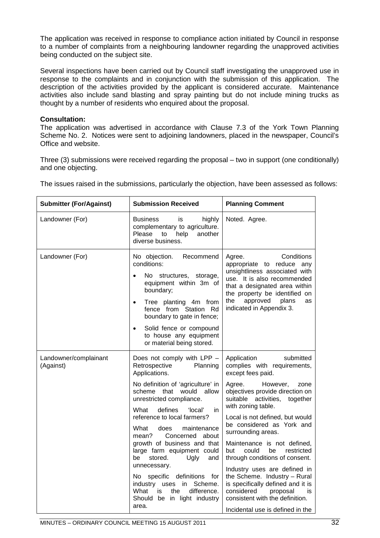The application was received in response to compliance action initiated by Council in response to a number of complaints from a neighbouring landowner regarding the unapproved activities being conducted on the subject site.

Several inspections have been carried out by Council staff investigating the unapproved use in response to the complaints and in conjunction with the submission of this application. The description of the activities provided by the applicant is considered accurate. Maintenance activities also include sand blasting and spray painting but do not include mining trucks as thought by a number of residents who enquired about the proposal.

#### **Consultation:**

The application was advertised in accordance with Clause 7.3 of the York Town Planning Scheme No. 2. Notices were sent to adjoining landowners, placed in the newspaper, Council's Office and website.

Three (3) submissions were received regarding the proposal – two in support (one conditionally) and one objecting.

| The issues raised in the submissions, particularly the objection, have been assessed as follows: |
|--------------------------------------------------------------------------------------------------|
|--------------------------------------------------------------------------------------------------|

| <b>Submitter (For/Against)</b>     | <b>Submission Received</b>                                                                                                                                                                                                                                                                                                                                                                                                                                                                                                                                       | <b>Planning Comment</b>                                                                                                                                                                                                                                                                                                                                                                                                                                                                                                                                                                                     |
|------------------------------------|------------------------------------------------------------------------------------------------------------------------------------------------------------------------------------------------------------------------------------------------------------------------------------------------------------------------------------------------------------------------------------------------------------------------------------------------------------------------------------------------------------------------------------------------------------------|-------------------------------------------------------------------------------------------------------------------------------------------------------------------------------------------------------------------------------------------------------------------------------------------------------------------------------------------------------------------------------------------------------------------------------------------------------------------------------------------------------------------------------------------------------------------------------------------------------------|
| Landowner (For)                    | highly<br><b>Business</b><br>is<br>complementary to agriculture.<br>Please<br>help<br>another<br>to<br>diverse business.                                                                                                                                                                                                                                                                                                                                                                                                                                         | Noted. Agree.                                                                                                                                                                                                                                                                                                                                                                                                                                                                                                                                                                                               |
| Landowner (For)                    | No objection.<br>Recommend<br>conditions:<br>No structures,<br>storage,<br>$\bullet$<br>equipment within 3m of<br>boundary;<br>Tree planting 4m from<br>$\bullet$<br>fence from Station Rd<br>boundary to gate in fence;<br>Solid fence or compound<br>$\bullet$<br>to house any equipment<br>or material being stored.                                                                                                                                                                                                                                          | Conditions<br>Agree.<br>appropriate to reduce any<br>unsightliness associated with<br>use. It is also recommended<br>that a designated area within<br>the property be identified on<br>approved<br>plans<br>the<br><b>as</b><br>indicated in Appendix 3.                                                                                                                                                                                                                                                                                                                                                    |
| Landowner/complainant<br>(Against) | Does not comply with LPP -<br>Retrospective<br>Planning<br>Applications.<br>No definition of 'agriculture' in<br>scheme that would<br>allow<br>unrestricted compliance.<br>What<br>defines<br>'local'<br>in<br>reference to local farmers?<br>What<br>does<br>maintenance<br>Concerned about<br>mean?<br>growth of business and that<br>large farm equipment could<br>stored.<br>be<br>Ugly<br>and<br>unnecessary.<br>No specific definitions for<br>industry uses<br>in<br>Scheme.<br>What<br>difference.<br>is.<br>the<br>Should be in light industry<br>area. | Application<br>submitted<br>complies with requirements,<br>except fees paid.<br>Agree.<br>However,<br>zone<br>objectives provide direction on<br>suitable activities, together<br>with zoning table.<br>Local is not defined, but would<br>be considered as York and<br>surrounding areas.<br>Maintenance is not defined,<br>could<br>restricted<br>but<br>be<br>through conditions of consent.<br>Industry uses are defined in<br>the Scheme. Industry - Rural<br>is specifically defined and it is<br>considered<br>proposal<br>is<br>consistent with the definition.<br>Incidental use is defined in the |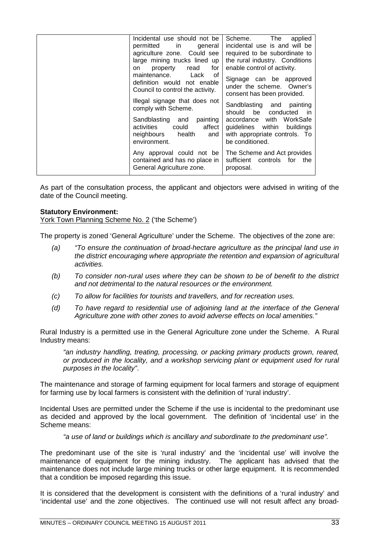| Incidental use should not be<br>permitted in<br>general<br>agriculture zone. Could see<br>large mining trucks lined up<br>for<br>read<br>property<br>on<br>of<br>maintenance.<br>Lack<br>definition would not enable<br>Council to control the activity.<br>Illegal signage that does not<br>comply with Scheme.<br>painting<br>Sandblasting and<br>affect<br>activities<br>could<br>neighbours health<br>and<br>environment. | The<br>Scheme.<br>applied<br>incidental use is and will be<br>required to be subordinate to<br>the rural industry. Conditions<br>enable control of activity.<br>Signage can be approved<br>under the scheme. Owner's<br>consent has been provided.<br>Sandblasting and painting<br>should be conducted<br>in in<br>with WorkSafe<br>accordance<br>guidelines within buildings<br>with appropriate controls. To<br>be conditioned. |
|-------------------------------------------------------------------------------------------------------------------------------------------------------------------------------------------------------------------------------------------------------------------------------------------------------------------------------------------------------------------------------------------------------------------------------|-----------------------------------------------------------------------------------------------------------------------------------------------------------------------------------------------------------------------------------------------------------------------------------------------------------------------------------------------------------------------------------------------------------------------------------|
| Any approval could not be<br>contained and has no place in<br>General Agriculture zone.                                                                                                                                                                                                                                                                                                                                       | The Scheme and Act provides<br>sufficient controls for<br>the<br>proposal.                                                                                                                                                                                                                                                                                                                                                        |

As part of the consultation process, the applicant and objectors were advised in writing of the date of the Council meeting.

#### **Statutory Environment:**

York Town Planning Scheme No. 2 ('the Scheme')

The property is zoned 'General Agriculture' under the Scheme. The objectives of the zone are:

- *(a) "To ensure the continuation of broad-hectare agriculture as the principal land use in the district encouraging where appropriate the retention and expansion of agricultural activities.*
- *(b) To consider non-rural uses where they can be shown to be of benefit to the district and not detrimental to the natural resources or the environment.*
- *(c) To allow for facilities for tourists and travellers, and for recreation uses.*
- *(d) To have regard to residential use of adjoining land at the interface of the General Agriculture zone with other zones to avoid adverse effects on local amenities."*

Rural Industry is a permitted use in the General Agriculture zone under the Scheme. A Rural Industry means:

*"an industry handling, treating, processing, or packing primary products grown, reared, or produced in the locality, and a workshop servicing plant or equipment used for rural purposes in the locality"*.

The maintenance and storage of farming equipment for local farmers and storage of equipment for farming use by local farmers is consistent with the definition of 'rural industry'.

Incidental Uses are permitted under the Scheme if the use is incidental to the predominant use as decided and approved by the local government. The definition of 'incidental use' in the Scheme means:

*"a use of land or buildings which is ancillary and subordinate to the predominant use".*

The predominant use of the site is 'rural industry' and the 'incidental use' will involve the maintenance of equipment for the mining industry. The applicant has advised that the maintenance does not include large mining trucks or other large equipment. It is recommended that a condition be imposed regarding this issue.

It is considered that the development is consistent with the definitions of a 'rural industry' and 'incidental use' and the zone objectives. The continued use will not result affect any broad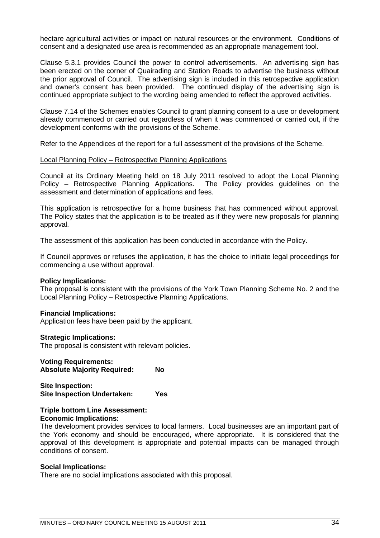hectare agricultural activities or impact on natural resources or the environment. Conditions of consent and a designated use area is recommended as an appropriate management tool.

Clause 5.3.1 provides Council the power to control advertisements. An advertising sign has been erected on the corner of Quairading and Station Roads to advertise the business without the prior approval of Council. The advertising sign is included in this retrospective application and owner's consent has been provided. The continued display of the advertising sign is continued appropriate subject to the wording being amended to reflect the approved activities.

Clause 7.14 of the Schemes enables Council to grant planning consent to a use or development already commenced or carried out regardless of when it was commenced or carried out, if the development conforms with the provisions of the Scheme.

Refer to the Appendices of the report for a full assessment of the provisions of the Scheme.

#### Local Planning Policy – Retrospective Planning Applications

Council at its Ordinary Meeting held on 18 July 2011 resolved to adopt the Local Planning<br>Policy – Retrospective Planning Applications. The Policy provides guidelines on the Policy – Retrospective Planning Applications. assessment and determination of applications and fees.

This application is retrospective for a home business that has commenced without approval. The Policy states that the application is to be treated as if they were new proposals for planning approval.

The assessment of this application has been conducted in accordance with the Policy.

If Council approves or refuses the application, it has the choice to initiate legal proceedings for commencing a use without approval.

#### **Policy Implications:**

The proposal is consistent with the provisions of the York Town Planning Scheme No. 2 and the Local Planning Policy – Retrospective Planning Applications.

#### **Financial Implications:**

Application fees have been paid by the applicant.

#### **Strategic Implications:**

The proposal is consistent with relevant policies.

#### **Voting Requirements:**

**Absolute Majority Required: No**

```
Site Inspection:
Site Inspection Undertaken: Yes
```
#### **Triple bottom Line Assessment: Economic Implications:**

The development provides services to local farmers. Local businesses are an important part of the York economy and should be encouraged, where appropriate. It is considered that the approval of this development is appropriate and potential impacts can be managed through conditions of consent.

#### **Social Implications:**

There are no social implications associated with this proposal.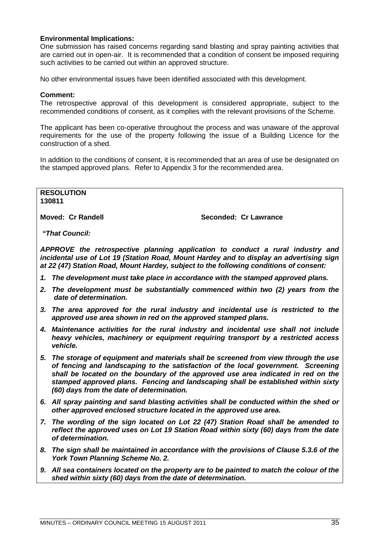#### **Environmental Implications:**

One submission has raised concerns regarding sand blasting and spray painting activities that are carried out in open-air. It is recommended that a condition of consent be imposed requiring such activities to be carried out within an approved structure.

No other environmental issues have been identified associated with this development.

#### **Comment:**

The retrospective approval of this development is considered appropriate, subject to the recommended conditions of consent, as it complies with the relevant provisions of the Scheme.

The applicant has been co-operative throughout the process and was unaware of the approval requirements for the use of the property following the issue of a Building Licence for the construction of a shed.

In addition to the conditions of consent, it is recommended that an area of use be designated on the stamped approved plans. Refer to Appendix 3 for the recommended area.

**RESOLUTION 130811**

**Moved: Cr Randell Seconded: Cr Lawrance**

*"That Council:*

*APPROVE the retrospective planning application to conduct a rural industry and incidental use of Lot 19 (Station Road, Mount Hardey and to display an advertising sign at 22 (47) Station Road, Mount Hardey, subject to the following conditions of consent:*

- *1. The development must take place in accordance with the stamped approved plans.*
- *2. The development must be substantially commenced within two (2) years from the date of determination.*
- *3. The area approved for the rural industry and incidental use is restricted to the approved use area shown in red on the approved stamped plans.*
- *4. Maintenance activities for the rural industry and incidental use shall not include heavy vehicles, machinery or equipment requiring transport by a restricted access vehicle.*
- *5. The storage of equipment and materials shall be screened from view through the use of fencing and landscaping to the satisfaction of the local government. Screening shall be located on the boundary of the approved use area indicated in red on the stamped approved plans. Fencing and landscaping shall be established within sixty (60) days from the date of determination.*
- *6. All spray painting and sand blasting activities shall be conducted within the shed or other approved enclosed structure located in the approved use area.*
- *7. The wording of the sign located on Lot 22 (47) Station Road shall be amended to reflect the approved uses on Lot 19 Station Road within sixty (60) days from the date of determination.*
- *8. The sign shall be maintained in accordance with the provisions of Clause 5.3.6 of the York Town Planning Scheme No. 2.*
- *9. All sea containers located on the property are to be painted to match the colour of the shed within sixty (60) days from the date of determination.*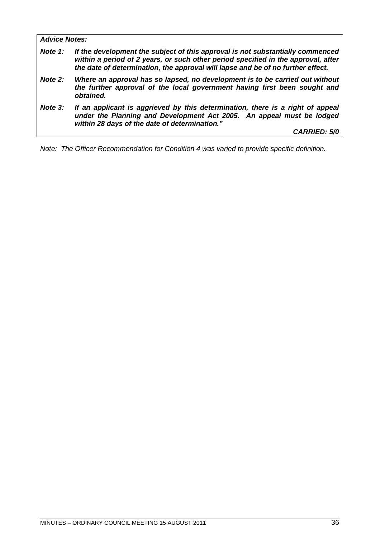*Advice Notes: Note 1: If the development the subject of this approval is not substantially commenced within a period of 2 years, or such other period specified in the approval, after the date of determination, the approval will lapse and be of no further effect. Note 2: Where an approval has so lapsed, no development is to be carried out without the further approval of the local government having first been sought and obtained. Note 3: If an applicant is aggrieved by this determination, there is a right of appeal under the Planning and Development Act 2005. An appeal must be lodged within 28 days of the date of determination." CARRIED: 5/0*

*Note: The Officer Recommendation for Condition 4 was varied to provide specific definition.*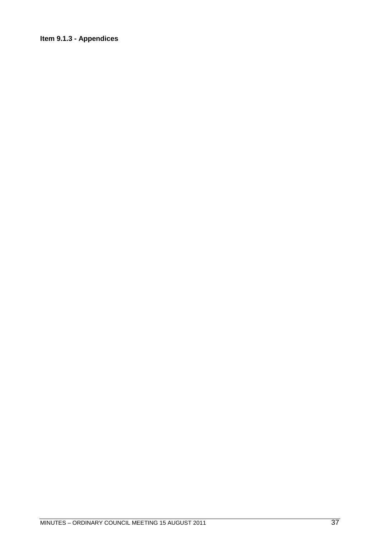### Item 9.1.3 - Appendices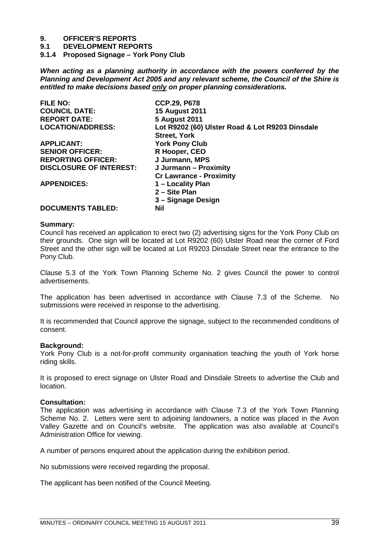**9.1 DEVELOPMENT REPORTS**

**9.1.4 Proposed Signage – York Pony Club**

*When acting as a planning authority in accordance with the powers conferred by the Planning and Development Act 2005 and any relevant scheme, the Council of the Shire is entitled to make decisions based only on proper planning considerations.*

| <b>FILE NO:</b>                | <b>CCP.29, P678</b>                             |
|--------------------------------|-------------------------------------------------|
| <b>COUNCIL DATE:</b>           | <b>15 August 2011</b>                           |
| <b>REPORT DATE:</b>            | <b>5 August 2011</b>                            |
| <b>LOCATION/ADDRESS:</b>       | Lot R9202 (60) Ulster Road & Lot R9203 Dinsdale |
|                                | <b>Street, York</b>                             |
| <b>APPLICANT:</b>              | <b>York Pony Club</b>                           |
| <b>SENIOR OFFICER:</b>         | R Hooper, CEO                                   |
| <b>REPORTING OFFICER:</b>      | J Jurmann, MPS                                  |
| <b>DISCLOSURE OF INTEREST:</b> | J Jurmann - Proximity                           |
|                                | <b>Cr Lawrance - Proximity</b>                  |
| <b>APPENDICES:</b>             | 1 – Locality Plan                               |
|                                | 2 - Site Plan                                   |
|                                | 3 – Signage Design                              |
| <b>DOCUMENTS TABLED:</b>       | <b>Nil</b>                                      |

#### **Summary:**

Council has received an application to erect two (2) advertising signs for the York Pony Club on their grounds. One sign will be located at Lot R9202 (60) Ulster Road near the corner of Ford Street and the other sign will be located at Lot R9203 Dinsdale Street near the entrance to the Pony Club.

Clause 5.3 of the York Town Planning Scheme No. 2 gives Council the power to control advertisements.

The application has been advertised in accordance with Clause 7.3 of the Scheme. No submissions were received in response to the advertising.

It is recommended that Council approve the signage, subject to the recommended conditions of consent.

#### **Background:**

York Pony Club is a not-for-profit community organisation teaching the youth of York horse riding skills.

It is proposed to erect signage on Ulster Road and Dinsdale Streets to advertise the Club and location.

#### **Consultation:**

The application was advertising in accordance with Clause 7.3 of the York Town Planning Scheme No. 2. Letters were sent to adjoining landowners, a notice was placed in the Avon Valley Gazette and on Council's website. The application was also available at Council's Administration Office for viewing.

A number of persons enquired about the application during the exhibition period.

No submissions were received regarding the proposal.

The applicant has been notified of the Council Meeting.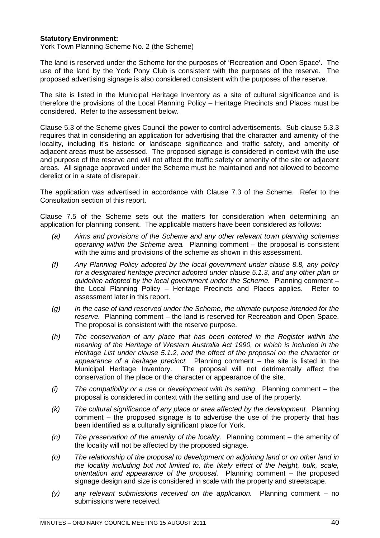#### **Statutory Environment:** York Town Planning Scheme No. 2 (the Scheme)

The land is reserved under the Scheme for the purposes of 'Recreation and Open Space'. The use of the land by the York Pony Club is consistent with the purposes of the reserve. The proposed advertising signage is also considered consistent with the purposes of the reserve.

The site is listed in the Municipal Heritage Inventory as a site of cultural significance and is therefore the provisions of the Local Planning Policy – Heritage Precincts and Places must be considered. Refer to the assessment below.

Clause 5.3 of the Scheme gives Council the power to control advertisements. Sub-clause 5.3.3 requires that in considering an application for advertising that the character and amenity of the locality, including it's historic or landscape significance and traffic safety, and amenity of adjacent areas must be assessed. The proposed signage is considered in context with the use and purpose of the reserve and will not affect the traffic safety or amenity of the site or adjacent areas. All signage approved under the Scheme must be maintained and not allowed to become derelict or in a state of disrepair.

The application was advertised in accordance with Clause 7.3 of the Scheme. Refer to the Consultation section of this report.

Clause 7.5 of the Scheme sets out the matters for consideration when determining an application for planning consent. The applicable matters have been considered as follows:

- *(a) Aims and provisions of the Scheme and any other relevant town planning schemes operating within the Scheme area.* Planning comment – the proposal is consistent with the aims and provisions of the scheme as shown in this assessment.
- *(f) Any Planning Policy adopted by the local government under clause 8.8, any policy for a designated heritage precinct adopted under clause 5.1.3, and any other plan or guideline adopted by the local government under the Scheme.* Planning comment – the Local Planning Policy – Heritage Precincts and Places applies. Refer to assessment later in this report.
- *(g) In the case of land reserved under the Scheme, the ultimate purpose intended for the reserve.* Planning comment – the land is reserved for Recreation and Open Space. The proposal is consistent with the reserve purpose.
- *(h) The conservation of any place that has been entered in the Register within the meaning of the Heritage of Western Australia Act 1990, or which is included in the Heritage List under clause 5.1.2, and the effect of the proposal on the character or appearance of a heritage precinct.* Planning comment – the site is listed in the Municipal Heritage Inventory. The proposal will not detrimentally affect the conservation of the place or the character or appearance of the site.
- *(i) The compatibility or a use or development with its setting.* Planning comment the proposal is considered in context with the setting and use of the property.
- *(k) The cultural significance of any place or area affected by the development.* Planning comment – the proposed signage is to advertise the use of the property that has been identified as a culturally significant place for York.
- *(n) The preservation of the amenity of the locality.* Planning comment the amenity of the locality will not be affected by the proposed signage.
- *(o) The relationship of the proposal to development on adjoining land or on other land in the locality including but not limited to, the likely effect of the height, bulk, scale, orientation and appearance of the proposal.* Planning comment – the proposed signage design and size is considered in scale with the property and streetscape.
- *(y) any relevant submissions received on the application.* Planning comment no submissions were received.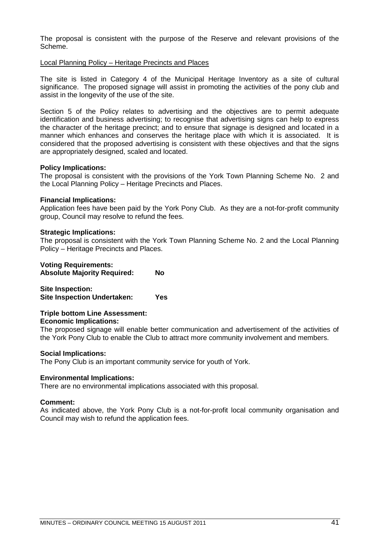The proposal is consistent with the purpose of the Reserve and relevant provisions of the Scheme.

#### Local Planning Policy – Heritage Precincts and Places

The site is listed in Category 4 of the Municipal Heritage Inventory as a site of cultural significance. The proposed signage will assist in promoting the activities of the pony club and assist in the longevity of the use of the site.

Section 5 of the Policy relates to advertising and the objectives are to permit adequate identification and business advertising; to recognise that advertising signs can help to express the character of the heritage precinct; and to ensure that signage is designed and located in a manner which enhances and conserves the heritage place with which it is associated. It is considered that the proposed advertising is consistent with these objectives and that the signs are appropriately designed, scaled and located.

#### **Policy Implications:**

The proposal is consistent with the provisions of the York Town Planning Scheme No. 2 and the Local Planning Policy – Heritage Precincts and Places.

#### **Financial Implications:**

Application fees have been paid by the York Pony Club. As they are a not-for-profit community group, Council may resolve to refund the fees.

#### **Strategic Implications:**

The proposal is consistent with the York Town Planning Scheme No. 2 and the Local Planning Policy – Heritage Precincts and Places.

|  | <b>Voting Requirements:</b> |  |
|--|-----------------------------|--|
|--|-----------------------------|--|

**Absolute Majority Required: No**

**Site Inspection: Site Inspection Undertaken: Yes**

#### **Triple bottom Line Assessment: Economic Implications:**

The proposed signage will enable better communication and advertisement of the activities of the York Pony Club to enable the Club to attract more community involvement and members.

#### **Social Implications:**

The Pony Club is an important community service for youth of York.

#### **Environmental Implications:**

There are no environmental implications associated with this proposal.

#### **Comment:**

As indicated above, the York Pony Club is a not-for-profit local community organisation and Council may wish to refund the application fees.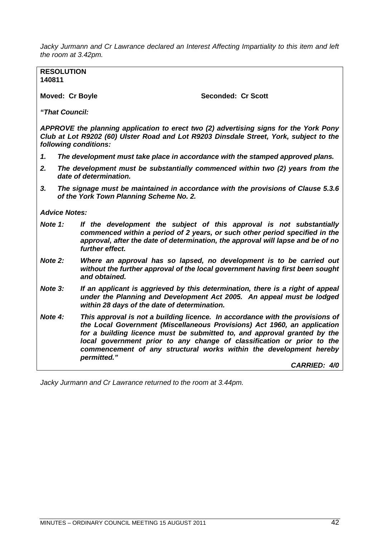*Jacky Jurmann and Cr Lawrance declared an Interest Affecting Impartiality to this item and left the room at 3.42pm.*

**RESOLUTION 140811**

Moved: Cr Boyle **Seconded: Cr Scott** 

*"That Council:*

*APPROVE the planning application to erect two (2) advertising signs for the York Pony Club at Lot R9202 (60) Ulster Road and Lot R9203 Dinsdale Street, York, subject to the following conditions:*

- *1. The development must take place in accordance with the stamped approved plans.*
- *2. The development must be substantially commenced within two (2) years from the date of determination.*
- *3. The signage must be maintained in accordance with the provisions of Clause 5.3.6 of the York Town Planning Scheme No. 2.*

*Advice Notes:*

- *Note 1: If the development the subject of this approval is not substantially commenced within a period of 2 years, or such other period specified in the approval, after the date of determination, the approval will lapse and be of no further effect.*
- *Note 2: Where an approval has so lapsed, no development is to be carried out without the further approval of the local government having first been sought and obtained.*
- *Note 3: If an applicant is aggrieved by this determination, there is a right of appeal under the Planning and Development Act 2005. An appeal must be lodged within 28 days of the date of determination.*
- *Note 4: This approval is not a building licence. In accordance with the provisions of the Local Government (Miscellaneous Provisions) Act 1960, an application for a building licence must be submitted to, and approval granted by the local government prior to any change of classification or prior to the commencement of any structural works within the development hereby permitted."*

*CARRIED: 4/0*

*Jacky Jurmann and Cr Lawrance returned to the room at 3.44pm.*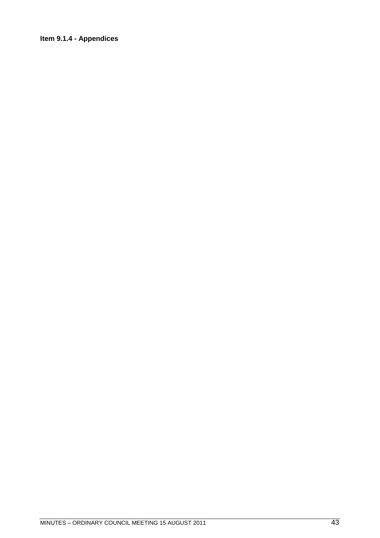### Item 9.1.4 - Appendices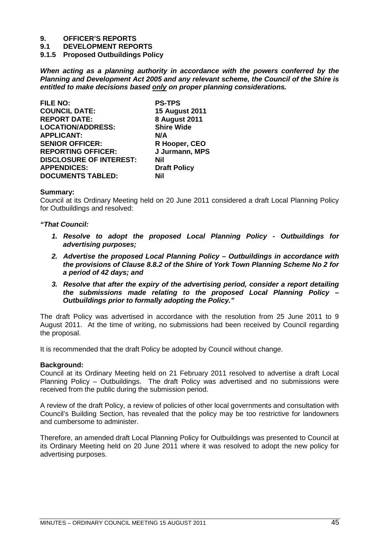**9.1 DEVELOPMENT REPORTS**

**9.1.5 Proposed Outbuildings Policy**

*When acting as a planning authority in accordance with the powers conferred by the Planning and Development Act 2005 and any relevant scheme, the Council of the Shire is entitled to make decisions based only on proper planning considerations.*

| <b>FILE NO:</b>                | <b>PS-TPS</b>         |
|--------------------------------|-----------------------|
| <b>COUNCIL DATE:</b>           | <b>15 August 2011</b> |
| <b>REPORT DATE:</b>            | <b>8 August 2011</b>  |
| <b>LOCATION/ADDRESS:</b>       | <b>Shire Wide</b>     |
| <b>APPLICANT:</b>              | N/A                   |
| <b>SENIOR OFFICER:</b>         | R Hooper, CEO         |
| <b>REPORTING OFFICER:</b>      | J Jurmann, MPS        |
| <b>DISCLOSURE OF INTEREST:</b> | Nil                   |
| <b>APPENDICES:</b>             | <b>Draft Policy</b>   |
| <b>DOCUMENTS TABLED:</b>       | Nil                   |

#### **Summary:**

Council at its Ordinary Meeting held on 20 June 2011 considered a draft Local Planning Policy for Outbuildings and resolved:

#### *"That Council:*

- *1. Resolve to adopt the proposed Local Planning Policy Outbuildings for advertising purposes;*
- *2. Advertise the proposed Local Planning Policy Outbuildings in accordance with the provisions of Clause 8.8.2 of the Shire of York Town Planning Scheme No 2 for a period of 42 days; and*
- *3. Resolve that after the expiry of the advertising period, consider a report detailing the submissions made relating to the proposed Local Planning Policy – Outbuildings prior to formally adopting the Policy."*

The draft Policy was advertised in accordance with the resolution from 25 June 2011 to 9 August 2011. At the time of writing, no submissions had been received by Council regarding the proposal.

It is recommended that the draft Policy be adopted by Council without change.

#### **Background:**

Council at its Ordinary Meeting held on 21 February 2011 resolved to advertise a draft Local Planning Policy – Outbuildings. The draft Policy was advertised and no submissions were received from the public during the submission period.

A review of the draft Policy, a review of policies of other local governments and consultation with Council's Building Section, has revealed that the policy may be too restrictive for landowners and cumbersome to administer.

Therefore, an amended draft Local Planning Policy for Outbuildings was presented to Council at its Ordinary Meeting held on 20 June 2011 where it was resolved to adopt the new policy for advertising purposes.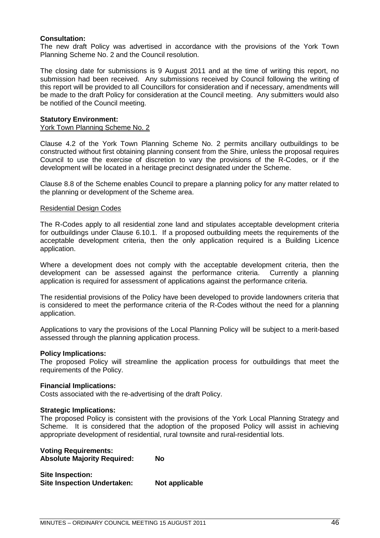#### **Consultation:**

The new draft Policy was advertised in accordance with the provisions of the York Town Planning Scheme No. 2 and the Council resolution.

The closing date for submissions is 9 August 2011 and at the time of writing this report, no submission had been received. Any submissions received by Council following the writing of this report will be provided to all Councillors for consideration and if necessary, amendments will be made to the draft Policy for consideration at the Council meeting. Any submitters would also be notified of the Council meeting.

#### **Statutory Environment:**

#### York Town Planning Scheme No. 2

Clause 4.2 of the York Town Planning Scheme No. 2 permits ancillary outbuildings to be constructed without first obtaining planning consent from the Shire, unless the proposal requires Council to use the exercise of discretion to vary the provisions of the R-Codes, or if the development will be located in a heritage precinct designated under the Scheme.

Clause 8.8 of the Scheme enables Council to prepare a planning policy for any matter related to the planning or development of the Scheme area.

#### Residential Design Codes

The R-Codes apply to all residential zone land and stipulates acceptable development criteria for outbuildings under Clause 6.10.1. If a proposed outbuilding meets the requirements of the acceptable development criteria, then the only application required is a Building Licence application.

Where a development does not comply with the acceptable development criteria, then the development can be assessed against the performance criteria. Currently a planning application is required for assessment of applications against the performance criteria.

The residential provisions of the Policy have been developed to provide landowners criteria that is considered to meet the performance criteria of the R-Codes without the need for a planning application.

Applications to vary the provisions of the Local Planning Policy will be subject to a merit-based assessed through the planning application process.

#### **Policy Implications:**

The proposed Policy will streamline the application process for outbuildings that meet the requirements of the Policy.

#### **Financial Implications:**

Costs associated with the re-advertising of the draft Policy.

#### **Strategic Implications:**

The proposed Policy is consistent with the provisions of the York Local Planning Strategy and Scheme. It is considered that the adoption of the proposed Policy will assist in achieving appropriate development of residential, rural townsite and rural-residential lots.

#### **Voting Requirements: Absolute Majority Required: No**

**Site Inspection: Site Inspection Undertaken: Not applicable**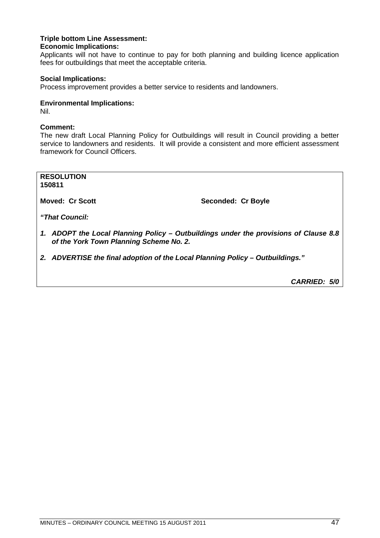#### **Triple bottom Line Assessment: Economic Implications:**

Applicants will not have to continue to pay for both planning and building licence application fees for outbuildings that meet the acceptable criteria.

#### **Social Implications:**

Process improvement provides a better service to residents and landowners.

#### **Environmental Implications:**

Nil.

#### **Comment:**

The new draft Local Planning Policy for Outbuildings will result in Council providing a better service to landowners and residents. It will provide a consistent and more efficient assessment framework for Council Officers.

**RESOLUTION 150811**

**Moved: Cr Scott** Seconded: Cr Boyle

*"That Council:*

- *1. ADOPT the Local Planning Policy Outbuildings under the provisions of Clause 8.8 of the York Town Planning Scheme No. 2.*
- *2. ADVERTISE the final adoption of the Local Planning Policy Outbuildings."*

*CARRIED: 5/0*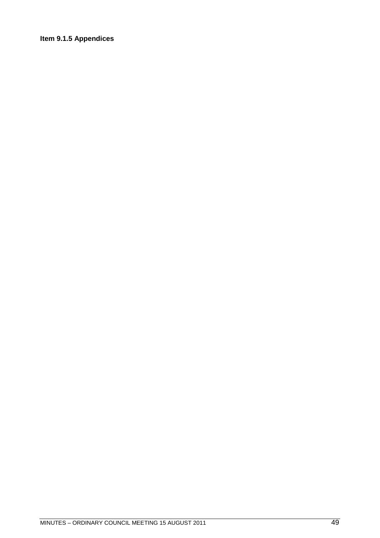### Item 9.1.5 Appendices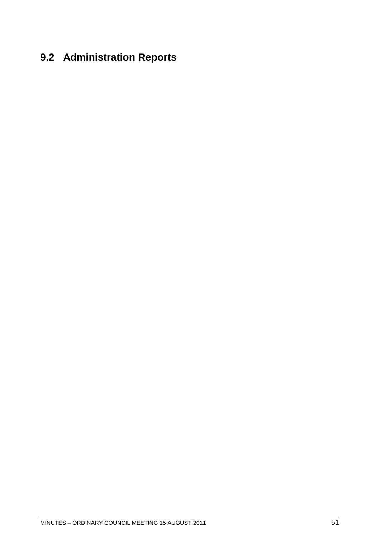## **9.2 Administration Reports**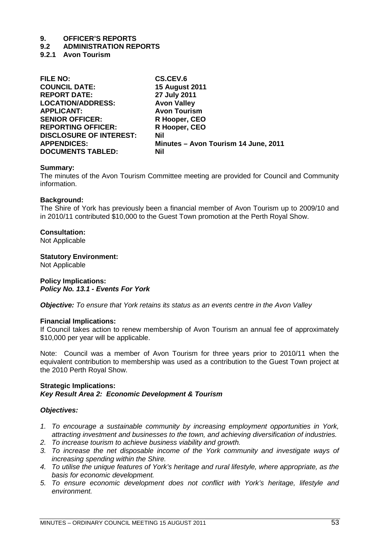#### **9.2 ADMINISTRATION REPORTS**

**9.2.1 Avon Tourism**

| <b>FILE NO:</b>                | CS.CEV.6                             |
|--------------------------------|--------------------------------------|
| <b>COUNCIL DATE:</b>           | <b>15 August 2011</b>                |
| <b>REPORT DATE:</b>            | 27 July 2011                         |
| <b>LOCATION/ADDRESS:</b>       | <b>Avon Valley</b>                   |
| <b>APPLICANT:</b>              | <b>Avon Tourism</b>                  |
| <b>SENIOR OFFICER:</b>         | R Hooper, CEO                        |
| <b>REPORTING OFFICER:</b>      | R Hooper, CEO                        |
| <b>DISCLOSURE OF INTEREST:</b> | Nil                                  |
| <b>APPENDICES:</b>             | Minutes - Avon Tourism 14 June, 2011 |
| <b>DOCUMENTS TABLED:</b>       | Nil                                  |

#### **Summary:**

The minutes of the Avon Tourism Committee meeting are provided for Council and Community information.

#### **Background:**

The Shire of York has previously been a financial member of Avon Tourism up to 2009/10 and in 2010/11 contributed \$10,000 to the Guest Town promotion at the Perth Royal Show.

#### **Consultation:**

Not Applicable

#### **Statutory Environment:**

Not Applicable

**Policy Implications:** *Policy No. 13.1 - Events For York*

*Objective: To ensure that York retains its status as an events centre in the Avon Valley*

#### **Financial Implications:**

If Council takes action to renew membership of Avon Tourism an annual fee of approximately \$10,000 per year will be applicable.

Note: Council was a member of Avon Tourism for three years prior to 2010/11 when the equivalent contribution to membership was used as a contribution to the Guest Town project at the 2010 Perth Royal Show.

#### **Strategic Implications:** *Key Result Area 2: Economic Development & Tourism*

#### *Objectives:*

- *1. To encourage a sustainable community by increasing employment opportunities in York, attracting investment and businesses to the town, and achieving diversification of industries.*
- *2. To increase tourism to achieve business viability and growth.*
- *3. To increase the net disposable income of the York community and investigate ways of increasing spending within the Shire.*
- *4. To utilise the unique features of York's heritage and rural lifestyle, where appropriate, as the basis for economic development.*
- *5. To ensure economic development does not conflict with York's heritage, lifestyle and environment.*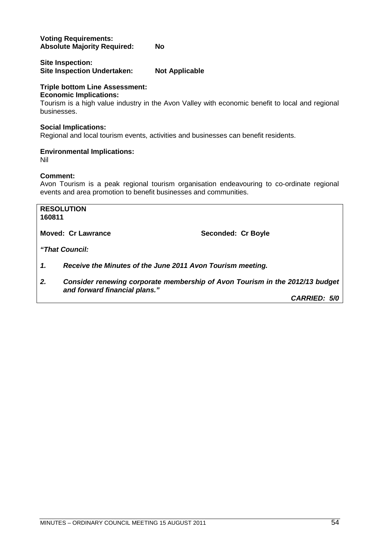#### **Voting Requirements: Absolute Majority Required: No**

#### **Site Inspection: Site Inspection Undertaken: Not Applicable**

### **Triple bottom Line Assessment:**

### **Economic Implications:**

Tourism is a high value industry in the Avon Valley with economic benefit to local and regional businesses.

#### **Social Implications:**

Regional and local tourism events, activities and businesses can benefit residents.

#### **Environmental Implications:**

Nil

#### **Comment:**

Avon Tourism is a peak regional tourism organisation endeavouring to co-ordinate regional events and area promotion to benefit businesses and communities.

| 160811 | <b>RESOLUTION</b>                                                                                             |                     |
|--------|---------------------------------------------------------------------------------------------------------------|---------------------|
|        | <b>Moved: Cr Lawrance</b>                                                                                     | Seconded: Cr Boyle  |
|        | "That Council:                                                                                                |                     |
| 1.     | Receive the Minutes of the June 2011 Avon Tourism meeting.                                                    |                     |
| 2.     | Consider renewing corporate membership of Avon Tourism in the 2012/13 budget<br>and forward financial plans." |                     |
|        |                                                                                                               | <b>CARRIED: 5/0</b> |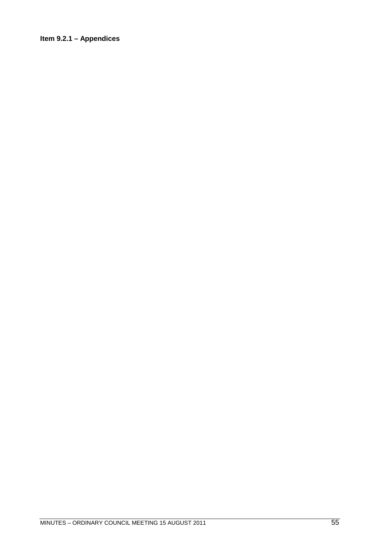### Item 9.2.1 - Appendices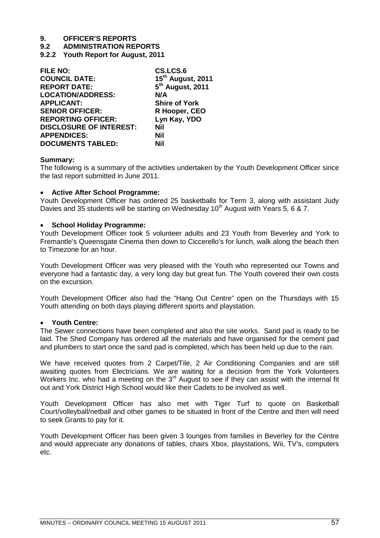**9.2 ADMINISTRATION REPORTS**

**9.2.2 Youth Report for August, 2011**

| <b>FILE NO:</b>                | CS.LCS.6                      |
|--------------------------------|-------------------------------|
| <b>COUNCIL DATE:</b>           | 15 <sup>th</sup> August, 2011 |
| <b>REPORT DATE:</b>            | 5 <sup>th</sup> August, 2011  |
| <b>LOCATION/ADDRESS:</b>       | N/A                           |
| <b>APPLICANT:</b>              | <b>Shire of York</b>          |
| <b>SENIOR OFFICER:</b>         | R Hooper, CEO                 |
| <b>REPORTING OFFICER:</b>      | Lyn Kay, YDO                  |
| <b>DISCLOSURE OF INTEREST:</b> | Nil                           |
| <b>APPENDICES:</b>             | Nil                           |
| <b>DOCUMENTS TABLED:</b>       | Nil                           |

#### **Summary:**

The following is a summary of the activities undertaken by the Youth Development Officer since the last report submitted in June 2011.

#### **Active After School Programme:**

Youth Development Officer has ordered 25 basketballs for Term 3, along with assistant Judy Davies and 35 students will be starting on Wednesday 10<sup>th</sup> August with Years 5, 6 & 7.

#### **School Holiday Programme:**

Youth Development Officer took 5 volunteer adults and 23 Youth from Beverley and York to Fremantle's Queensgate Cinema then down to Ciccerello's for lunch, walk along the beach then to Timezone for an hour.

Youth Development Officer was very pleased with the Youth who represented our Towns and everyone had a fantastic day, a very long day but great fun. The Youth covered their own costs on the excursion.

Youth Development Officer also had the "Hang Out Centre" open on the Thursdays with 15 Youth attending on both days playing different sports and playstation.

#### **Youth Centre:**

The Sewer connections have been completed and also the site works. Sand pad is ready to be laid. The Shed Company has ordered all the materials and have organised for the cement pad and plumbers to start once the sand pad is completed, which has been held up due to the rain.

We have received quotes from 2 Carpet/Tile, 2 Air Conditioning Companies and are still awaiting quotes from Electricians. We are waiting for a decision from the York Volunteers Workers Inc. who had a meeting on the  $3<sup>rd</sup>$  August to see if they can assist with the internal fit out and York District High School would like their Cadets to be involved as well.

Youth Development Officer has also met with Tiger Turf to quote on Basketball Court/volleyball/netball and other games to be situated in front of the Centre and then will need to seek Grants to pay for it.

Youth Development Officer has been given 3 lounges from families in Beverley for the Centre and would appreciate any donations of tables, chairs Xbox, playstations, Wii, TV's, computers etc.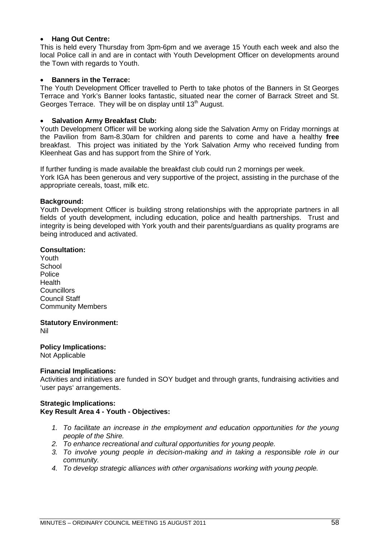#### **Hang Out Centre:**

This is held every Thursday from 3pm-6pm and we average 15 Youth each week and also the local Police call in and are in contact with Youth Development Officer on developments around the Town with regards to Youth.

#### **•** Banners in the Terrace:

The Youth Development Officer travelled to Perth to take photos of the Banners in St Georges Terrace and York's Banner looks fantastic, situated near the corner of Barrack Street and St. Georges Terrace. They will be on display until 13<sup>th</sup> August.

#### **Salvation Army Breakfast Club:**

Youth Development Officer will be working along side the Salvation Army on Friday mornings at the Pavilion from 8am-8.30am for children and parents to come and have a healthy **free** breakfast. This project was initiated by the York Salvation Army who received funding from Kleenheat Gas and has support from the Shire of York.

If further funding is made available the breakfast club could run 2 mornings per week. York IGA has been generous and very supportive of the project, assisting in the purchase of the appropriate cereals, toast, milk etc.

#### **Background:**

Youth Development Officer is building strong relationships with the appropriate partners in all fields of youth development, including education, police and health partnerships. Trust and integrity is being developed with York youth and their parents/guardians as quality programs are being introduced and activated.

#### **Consultation:**

Youth **School Police Health Councillors** Council Staff Community Members

#### **Statutory Environment:**

Nil

#### **Policy Implications:**

Not Applicable

#### **Financial Implications:**

Activities and initiatives are funded in SOY budget and through grants, fundraising activities and 'user pays' arrangements.

#### **Strategic Implications: Key Result Area 4 - Youth - Objectives:**

- *1. To facilitate an increase in the employment and education opportunities for the young people of the Shire.*
- *2. To enhance recreational and cultural opportunities for young people.*
- *3. To involve young people in decision-making and in taking a responsible role in our community.*
- *4. To develop strategic alliances with other organisations working with young people.*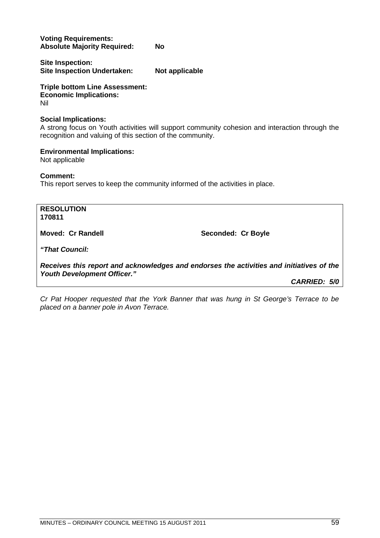**Voting Requirements: Absolute Majority Required: No**

**Site Inspection: Site Inspection Undertaken: Not applicable**

**Triple bottom Line Assessment: Economic Implications:** Nil

#### **Social Implications:**

A strong focus on Youth activities will support community cohesion and interaction through the recognition and valuing of this section of the community.

#### **Environmental Implications:**

Not applicable

**Comment:**

This report serves to keep the community informed of the activities in place.

**RESOLUTION 170811 Moved: Cr Randell Seconded: Cr Boyle** *"That Council: Receives this report and acknowledges and endorses the activities and initiatives of the Youth Development Officer." CARRIED: 5/0*

*Cr Pat Hooper requested that the York Banner that was hung in St George's Terrace to be placed on a banner pole in Avon Terrace.*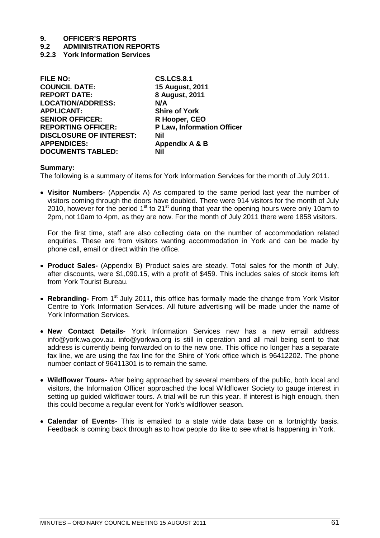- **9.2 ADMINISTRATION REPORTS**
- **9.2.3 York Information Services**

| <b>FILE NO:</b>                | <b>CS.LCS.8.1</b>          |
|--------------------------------|----------------------------|
| <b>COUNCIL DATE:</b>           | 15 August, 2011            |
| <b>REPORT DATE:</b>            | 8 August, 2011             |
| <b>LOCATION/ADDRESS:</b>       | N/A                        |
| <b>APPLICANT:</b>              | <b>Shire of York</b>       |
| <b>SENIOR OFFICER:</b>         | R Hooper, CEO              |
| <b>REPORTING OFFICER:</b>      | P Law, Information Officer |
| <b>DISCLOSURE OF INTEREST:</b> | Nil                        |
| <b>APPENDICES:</b>             | Appendix A & B             |
| <b>DOCUMENTS TABLED:</b>       | Nil                        |
|                                |                            |

#### **Summary:**

The following is a summary of items for York Information Services for the month of July 2011.

 **Visitor Numbers-** (Appendix A) As compared to the same period last year the number of visitors coming through the doors have doubled. There were 914 visitors for the month of July 2010, however for the period 1<sup>st</sup> to 21<sup>st</sup> during that year the opening hours were only 10am to 2pm, not 10am to 4pm, as they are now. For the month of July 2011 there were 1858 visitors.

For the first time, staff are also collecting data on the number of accommodation related enquiries. These are from visitors wanting accommodation in York and can be made by phone call, email or direct within the office.

- **Product Sales-** (Appendix B) Product sales are steady. Total sales for the month of July, after discounts, were \$1,090.15, with a profit of \$459. This includes sales of stock items left from York Tourist Bureau.
- Rebranding- From 1<sup>st</sup> July 2011, this office has formally made the change from York Visitor Centre to York Information Services. All future advertising will be made under the name of York Information Services.
- **New Contact Details-** York Information Services new has a new email address [info@york.wa.gov.au](mailto:info@york.wa.gov.au). [info@yorkwa.org](mailto:info@yorkwa.org) is still in operation and all mail being sent to that address is currently being forwarded on to the new one. This office no longer has a separate fax line, we are using the fax line for the Shire of York office which is 96412202. The phone number contact of 96411301 is to remain the same.
- **Wildflower Tours-** After being approached by several members of the public, both local and visitors, the Information Officer approached the local Wildflower Society to gauge interest in setting up guided wildflower tours. A trial will be run this year. If interest is high enough, then this could become a regular event for York's wildflower season.
- **Calendar of Events-** This is emailed to a state wide data base on a fortnightly basis. Feedback is coming back through as to how people do like to see what is happening in York.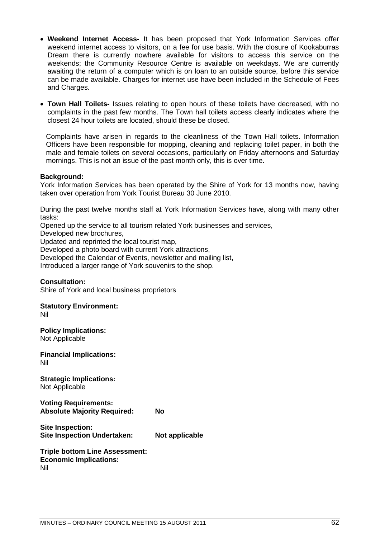- **Weekend Internet Access-** It has been proposed that York Information Services offer weekend internet access to visitors, on a fee for use basis. With the closure of Kookaburras Dream there is currently nowhere available for visitors to access this service on the weekends; the Community Resource Centre is available on weekdays. We are currently awaiting the return of a computer which is on loan to an outside source, before this service can be made available. Charges for internet use have been included in the Schedule of Fees and Charges.
- **Town Hall Toilets-** Issues relating to open hours of these toilets have decreased, with no complaints in the past few months. The Town hall toilets access clearly indicates where the closest 24 hour toilets are located, should these be closed.

Complaints have arisen in regards to the cleanliness of the Town Hall toilets. Information Officers have been responsible for mopping, cleaning and replacing toilet paper, in both the male and female toilets on several occasions, particularly on Friday afternoons and Saturday mornings. This is not an issue of the past month only, this is over time.

#### **Background:**

York Information Services has been operated by the Shire of York for 13 months now, having taken over operation from York Tourist Bureau 30 June 2010.

During the past twelve months staff at York Information Services have, along with many other tasks:

Opened up the service to all tourism related York businesses and services,

Developed new brochures,

Updated and reprinted the local tourist map,

Developed a photo board with current York attractions,

Developed the Calendar of Events, newsletter and mailing list,

Introduced a larger range of York souvenirs to the shop.

#### **Consultation:**

Shire of York and local business proprietors

## **Statutory Environment:**

Nil

**Policy Implications:** Not Applicable

**Financial Implications:** Nil

**Strategic Implications:** Not Applicable

**Voting Requirements: Absolute Majority Required: No**

**Site Inspection: Site Inspection Undertaken: Not applicable**

**Triple bottom Line Assessment: Economic Implications:** Nil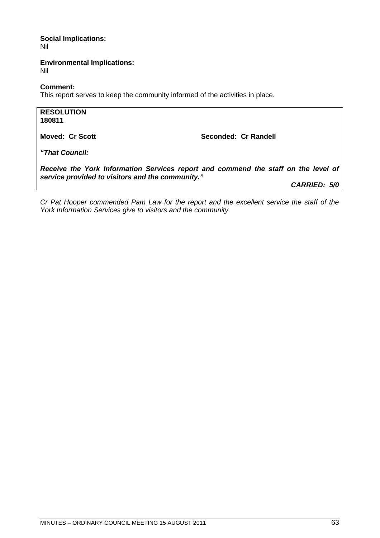**Social Implications:** Nil

**Environmental Implications:** Nil

**Comment:**

This report serves to keep the community informed of the activities in place.

**RESOLUTION 180811 Moved: Cr Scott** Seconded: Cr Randell *"That Council: Receive the York Information Services report and commend the staff on the level of service provided to visitors and the community."*

*CARRIED: 5/0*

*Cr Pat Hooper commended Pam Law for the report and the excellent service the staff of the York Information Services give to visitors and the community.*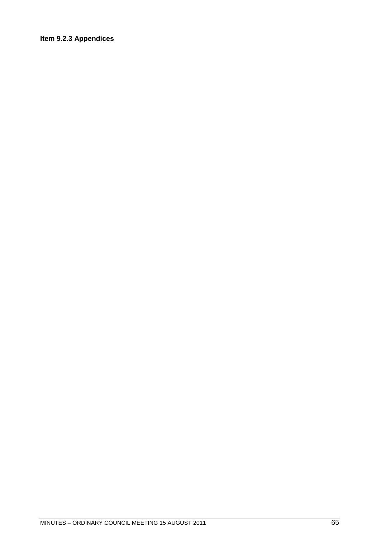### **Item 9.2.3 Appendices**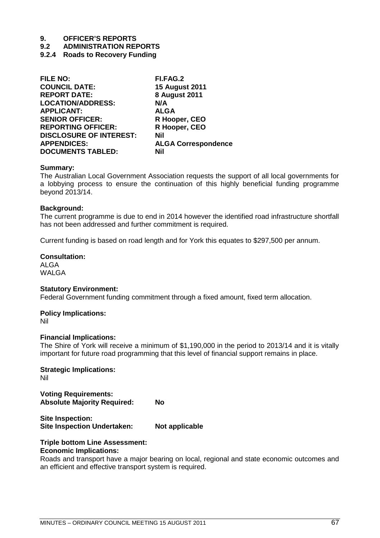**9.2 ADMINISTRATION REPORTS**

**9.2.4 Roads to Recovery Funding**

| <b>FILE NO:</b>                | FI.FAG.2                   |
|--------------------------------|----------------------------|
| <b>COUNCIL DATE:</b>           | <b>15 August 2011</b>      |
| <b>REPORT DATE:</b>            | <b>8 August 2011</b>       |
| <b>LOCATION/ADDRESS:</b>       | N/A                        |
| <b>APPLICANT:</b>              | <b>ALGA</b>                |
| <b>SENIOR OFFICER:</b>         | R Hooper, CEO              |
| <b>REPORTING OFFICER:</b>      | R Hooper, CEO              |
| <b>DISCLOSURE OF INTEREST:</b> | Nil                        |
| <b>APPENDICES:</b>             | <b>ALGA Correspondence</b> |
| <b>DOCUMENTS TABLED:</b>       | Nil                        |
|                                |                            |

#### **Summary:**

The Australian Local Government Association requests the support of all local governments for a lobbying process to ensure the continuation of this highly beneficial funding programme beyond 2013/14.

#### **Background:**

The current programme is due to end in 2014 however the identified road infrastructure shortfall has not been addressed and further commitment is required.

Current funding is based on road length and for York this equates to \$297,500 per annum.

#### **Consultation:**

ALGA WALGA

#### **Statutory Environment:**

Federal Government funding commitment through a fixed amount, fixed term allocation.

#### **Policy Implications:**

Nil

#### **Financial Implications:**

The Shire of York will receive a minimum of \$1,190,000 in the period to 2013/14 and it is vitally important for future road programming that this level of financial support remains in place.

**Strategic Implications:** Nil

**Voting Requirements: Absolute Majority Required: No**

**Site Inspection: Site Inspection Undertaken: Not applicable**

#### **Triple bottom Line Assessment: Economic Implications:**

Roads and transport have a major bearing on local, regional and state economic outcomes and an efficient and effective transport system is required.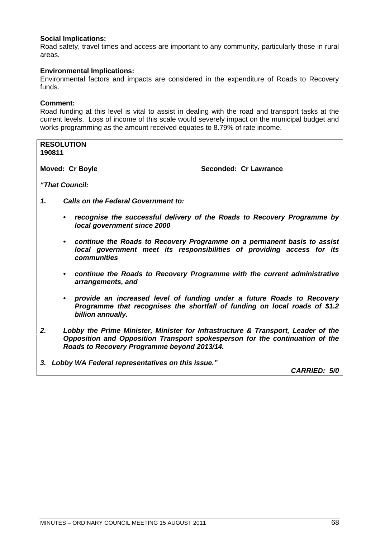#### **Social Implications:**

Road safety, travel times and access are important to any community, particularly those in rural areas.

#### **Environmental Implications:**

Environmental factors and impacts are considered in the expenditure of Roads to Recovery funds.

#### **Comment:**

Road funding at this level is vital to assist in dealing with the road and transport tasks at the current levels. Loss of income of this scale would severely impact on the municipal budget and works programming as the amount received equates to 8.79% of rate income.

| 190811                 | <b>RESOLUTION</b>                                                                                                                                                                                               |                       |  |
|------------------------|-----------------------------------------------------------------------------------------------------------------------------------------------------------------------------------------------------------------|-----------------------|--|
| <b>Moved: Cr Boyle</b> |                                                                                                                                                                                                                 | Seconded: Cr Lawrance |  |
|                        | "That Council:                                                                                                                                                                                                  |                       |  |
| 1.                     | <b>Calls on the Federal Government to:</b>                                                                                                                                                                      |                       |  |
|                        | recognise the successful delivery of the Roads to Recovery Programme by<br>$\bullet$<br>local government since 2000                                                                                             |                       |  |
|                        | • continue the Roads to Recovery Programme on a permanent basis to assist<br>local government meet its responsibilities of providing access for its<br>communities                                              |                       |  |
|                        | • continue the Roads to Recovery Programme with the current administrative<br>arrangements, and                                                                                                                 |                       |  |
|                        | provide an increased level of funding under a future Roads to Recovery<br>$\bullet$<br>Programme that recognises the shortfall of funding on local roads of \$1.2<br>billion annually.                          |                       |  |
| 2.                     | Lobby the Prime Minister, Minister for Infrastructure & Transport, Leader of the<br>Opposition and Opposition Transport spokesperson for the continuation of the<br>Roads to Recovery Programme beyond 2013/14. |                       |  |
|                        |                                                                                                                                                                                                                 |                       |  |

*3. Lobby WA Federal representatives on this issue."*

*CARRIED: 5/0*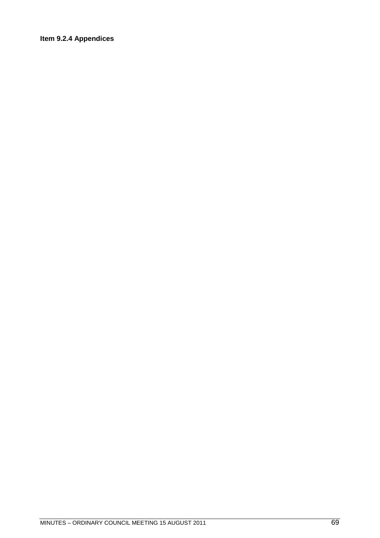### Item 9.2.4 Appendices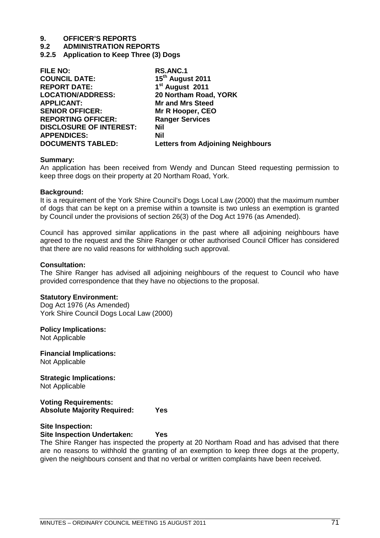**9.2 ADMINISTRATION REPORTS**

**9.2.5 Application to Keep Three (3) Dogs**

| 15 <sup>th</sup> August 2011<br><b>COUNCIL DATE:</b><br>1 <sup>st</sup> August 2011<br><b>REPORT DATE:</b><br>20 Northam Road, YORK<br><b>LOCATION/ADDRESS:</b><br><b>APPLICANT:</b><br><b>Mr and Mrs Steed</b><br><b>SENIOR OFFICER:</b><br>Mr R Hooper, CEO<br><b>Ranger Services</b><br><b>REPORTING OFFICER:</b><br><b>DISCLOSURE OF INTEREST:</b><br>Nil<br><b>APPENDICES:</b><br>Nil<br><b>DOCUMENTS TABLED:</b><br><b>Letters from Adjoining Neighbours</b> | <b>FILE NO:</b> | <b>RS.ANC.1</b> |
|--------------------------------------------------------------------------------------------------------------------------------------------------------------------------------------------------------------------------------------------------------------------------------------------------------------------------------------------------------------------------------------------------------------------------------------------------------------------|-----------------|-----------------|
|                                                                                                                                                                                                                                                                                                                                                                                                                                                                    |                 |                 |
|                                                                                                                                                                                                                                                                                                                                                                                                                                                                    |                 |                 |
|                                                                                                                                                                                                                                                                                                                                                                                                                                                                    |                 |                 |
|                                                                                                                                                                                                                                                                                                                                                                                                                                                                    |                 |                 |
|                                                                                                                                                                                                                                                                                                                                                                                                                                                                    |                 |                 |
|                                                                                                                                                                                                                                                                                                                                                                                                                                                                    |                 |                 |
|                                                                                                                                                                                                                                                                                                                                                                                                                                                                    |                 |                 |
|                                                                                                                                                                                                                                                                                                                                                                                                                                                                    |                 |                 |
|                                                                                                                                                                                                                                                                                                                                                                                                                                                                    |                 |                 |

#### **Summary:**

An application has been received from Wendy and Duncan Steed requesting permission to keep three dogs on their property at 20 Northam Road, York.

#### **Background:**

It is a requirement of the York Shire Council's Dogs Local Law (2000) that the maximum number of dogs that can be kept on a premise within a townsite is two unless an exemption is granted by Council under the provisions of section 26(3) of the Dog Act 1976 (as Amended).

Council has approved similar applications in the past where all adjoining neighbours have agreed to the request and the Shire Ranger or other authorised Council Officer has considered that there are no valid reasons for withholding such approval.

#### **Consultation:**

The Shire Ranger has advised all adjoining neighbours of the request to Council who have provided correspondence that they have no objections to the proposal.

#### **Statutory Environment:**

Dog Act 1976 (As Amended) York Shire Council Dogs Local Law (2000)

#### **Policy Implications:**

Not Applicable

**Financial Implications:** Not Applicable

**Strategic Implications:** Not Applicable

#### **Voting Requirements: Absolute Majority Required: Yes**

#### **Site Inspection: Site Inspection Undertaken: Yes**

The Shire Ranger has inspected the property at 20 Northam Road and has advised that there are no reasons to withhold the granting of an exemption to keep three dogs at the property, given the neighbours consent and that no verbal or written complaints have been received.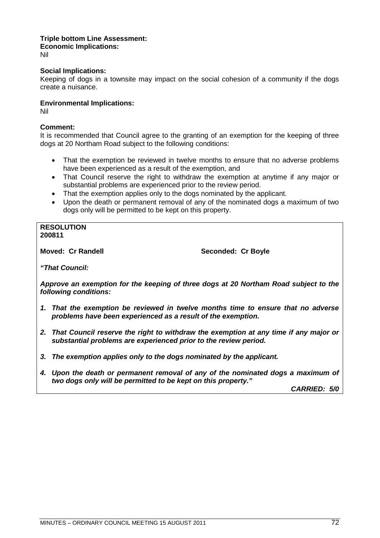#### **Triple bottom Line Assessment: Economic Implications:** Nil

#### **Social Implications:**

Keeping of dogs in a townsite may impact on the social cohesion of a community if the dogs create a nuisance.

#### **Environmental Implications:**

Nil

#### **Comment:**

It is recommended that Council agree to the granting of an exemption for the keeping of three dogs at 20 Northam Road subject to the following conditions:

- That the exemption be reviewed in twelve months to ensure that no adverse problems have been experienced as a result of the exemption, and
- That Council reserve the right to withdraw the exemption at anytime if any major or substantial problems are experienced prior to the review period.
- That the exemption applies only to the dogs nominated by the applicant.
- Upon the death or permanent removal of any of the nominated dogs a maximum of two dogs only will be permitted to be kept on this property.

#### **RESOLUTION 200811**

**Moved: Cr Randell Seconded: Cr Boyle** 

*"That Council:*

*Approve an exemption for the keeping of three dogs at 20 Northam Road subject to the following conditions:*

- *1. That the exemption be reviewed in twelve months time to ensure that no adverse problems have been experienced as a result of the exemption.*
- *2. That Council reserve the right to withdraw the exemption at any time if any major or substantial problems are experienced prior to the review period.*
- *3. The exemption applies only to the dogs nominated by the applicant.*
- *4. Upon the death or permanent removal of any of the nominated dogs a maximum of two dogs only will be permitted to be kept on this property."*

*CARRIED: 5/0*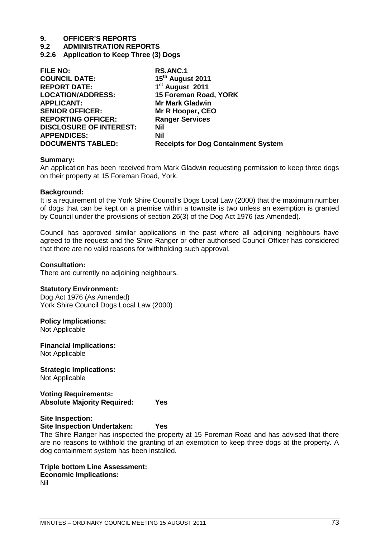**9.2 ADMINISTRATION REPORTS**

**9.2.6 Application to Keep Three (3) Dogs**

| <b>RS.ANC.1</b>                            |
|--------------------------------------------|
| 15 <sup>th</sup> August 2011               |
| 1 <sup>st</sup> August 2011                |
| 15 Foreman Road, YORK                      |
| <b>Mr Mark Gladwin</b>                     |
| Mr R Hooper, CEO                           |
| <b>Ranger Services</b>                     |
| Nil                                        |
| <b>Nil</b>                                 |
| <b>Receipts for Dog Containment System</b> |
|                                            |

#### **Summary:**

An application has been received from Mark Gladwin requesting permission to keep three dogs on their property at 15 Foreman Road, York.

## **Background:**

It is a requirement of the York Shire Council's Dogs Local Law (2000) that the maximum number of dogs that can be kept on a premise within a townsite is two unless an exemption is granted by Council under the provisions of section 26(3) of the Dog Act 1976 (as Amended).

Council has approved similar applications in the past where all adjoining neighbours have agreed to the request and the Shire Ranger or other authorised Council Officer has considered that there are no valid reasons for withholding such approval.

## **Consultation:**

There are currently no adjoining neighbours.

# **Statutory Environment:**

Dog Act 1976 (As Amended) York Shire Council Dogs Local Law (2000)

# **Policy Implications:**

Not Applicable

**Financial Implications:** Not Applicable

# **Strategic Implications:**

Not Applicable

## **Voting Requirements: Absolute Majority Required: Yes**

# **Site Inspection:**

#### **Site Inspection Undertaken: Yes**

The Shire Ranger has inspected the property at 15 Foreman Road and has advised that there are no reasons to withhold the granting of an exemption to keep three dogs at the property. A dog containment system has been installed.

# **Triple bottom Line Assessment:**

# **Economic Implications:**

Nil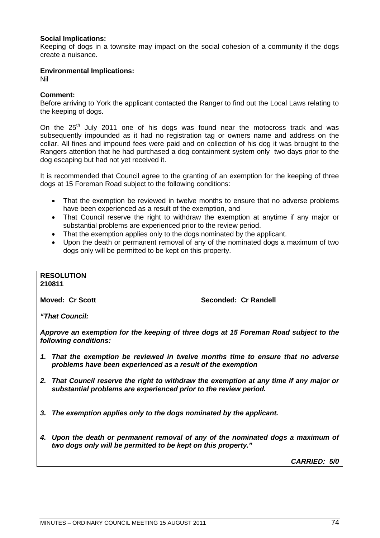# **Social Implications:**

Keeping of dogs in a townsite may impact on the social cohesion of a community if the dogs create a nuisance.

## **Environmental Implications:**

Nil

# **Comment:**

Before arriving to York the applicant contacted the Ranger to find out the Local Laws relating to the keeping of dogs.

On the  $25<sup>th</sup>$  July 2011 one of his dogs was found near the motocross track and was subsequently impounded as it had no registration tag or owners name and address on the collar. All fines and impound fees were paid and on collection of his dog it was brought to the Rangers attention that he had purchased a dog containment system only two days prior to the dog escaping but had not yet received it.

It is recommended that Council agree to the granting of an exemption for the keeping of three dogs at 15 Foreman Road subject to the following conditions:

- That the exemption be reviewed in twelve months to ensure that no adverse problems have been experienced as a result of the exemption, and
- That Council reserve the right to withdraw the exemption at anytime if any major or substantial problems are experienced prior to the review period.
- That the exemption applies only to the dogs nominated by the applicant.
- Upon the death or permanent removal of any of the nominated dogs a maximum of two dogs only will be permitted to be kept on this property.

#### **RESOLUTION 210811**

**Moved: Cr Scott Seconded: Cr Randell**

*"That Council:*

*Approve an exemption for the keeping of three dogs at 15 Foreman Road subject to the following conditions:*

- *1. That the exemption be reviewed in twelve months time to ensure that no adverse problems have been experienced as a result of the exemption*
- *2. That Council reserve the right to withdraw the exemption at any time if any major or substantial problems are experienced prior to the review period.*
- *3. The exemption applies only to the dogs nominated by the applicant.*
- *4. Upon the death or permanent removal of any of the nominated dogs a maximum of two dogs only will be permitted to be kept on this property."*

*CARRIED: 5/0*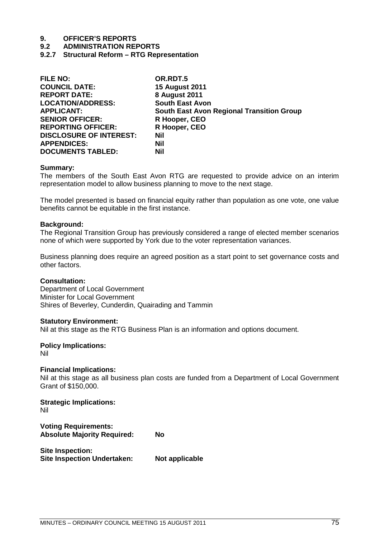**9.2 ADMINISTRATION REPORTS**

**9.2.7 Structural Reform – RTG Representation**

| <b>FILE NO:</b>                | OR.RDT.5                                         |
|--------------------------------|--------------------------------------------------|
| <b>COUNCIL DATE:</b>           | <b>15 August 2011</b>                            |
| <b>REPORT DATE:</b>            | <b>8 August 2011</b>                             |
| <b>LOCATION/ADDRESS:</b>       | <b>South East Avon</b>                           |
| <b>APPLICANT:</b>              | <b>South East Avon Regional Transition Group</b> |
| <b>SENIOR OFFICER:</b>         | R Hooper, CEO                                    |
| <b>REPORTING OFFICER:</b>      | R Hooper, CEO                                    |
| <b>DISCLOSURE OF INTEREST:</b> | <b>Nil</b>                                       |
| <b>APPENDICES:</b>             | Nil                                              |
| <b>DOCUMENTS TABLED:</b>       | <b>Nil</b>                                       |

#### **Summary:**

The members of the South East Avon RTG are requested to provide advice on an interim representation model to allow business planning to move to the next stage.

The model presented is based on financial equity rather than population as one vote, one value benefits cannot be equitable in the first instance.

#### **Background:**

The Regional Transition Group has previously considered a range of elected member scenarios none of which were supported by York due to the voter representation variances.

Business planning does require an agreed position as a start point to set governance costs and other factors.

#### **Consultation:**

Department of Local Government Minister for Local Government Shires of Beverley, Cunderdin, Quairading and Tammin

#### **Statutory Environment:**

Nil at this stage as the RTG Business Plan is an information and options document.

#### **Policy Implications:**

Nil

#### **Financial Implications:**

Nil at this stage as all business plan costs are funded from a Department of Local Government Grant of \$150,000.

**Strategic Implications:**

Nil

**Voting Requirements: Absolute Majority Required: No**

**Site Inspection: Site Inspection Undertaken: Not applicable**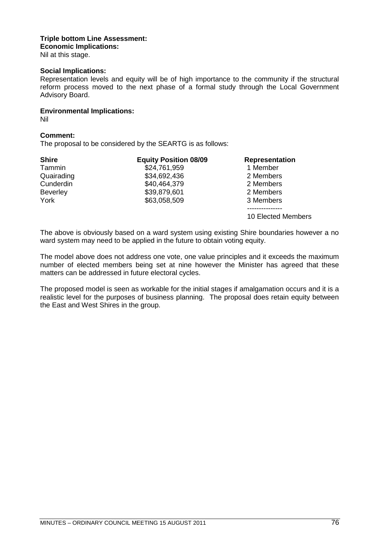# **Triple bottom Line Assessment: Economic Implications:**

Nil at this stage.

# **Social Implications:**

Representation levels and equity will be of high importance to the community if the structural reform process moved to the next phase of a formal study through the Local Government Advisory Board.

# **Environmental Implications:**

Nil

# **Comment:**

The proposal to be considered by the SEARTG is as follows:

| <b>Shire</b>    | <b>Equity Position 08/09</b> | <b>Representation</b> |
|-----------------|------------------------------|-----------------------|
| Tammin          | \$24,761,959                 | 1 Member              |
| Quairading      | \$34,692,436                 | 2 Members             |
| Cunderdin       | \$40,464,379                 | 2 Members             |
| <b>Beverley</b> | \$39,879,601                 | 2 Members             |
| York            | \$63,058,509                 | 3 Members             |
|                 |                              |                       |
|                 |                              | 10 Elected Members    |

The above is obviously based on a ward system using existing Shire boundaries however a no ward system may need to be applied in the future to obtain voting equity.

The model above does not address one vote, one value principles and it exceeds the maximum number of elected members being set at nine however the Minister has agreed that these matters can be addressed in future electoral cycles.

The proposed model is seen as workable for the initial stages if amalgamation occurs and it is a realistic level for the purposes of business planning. The proposal does retain equity between the East and West Shires in the group.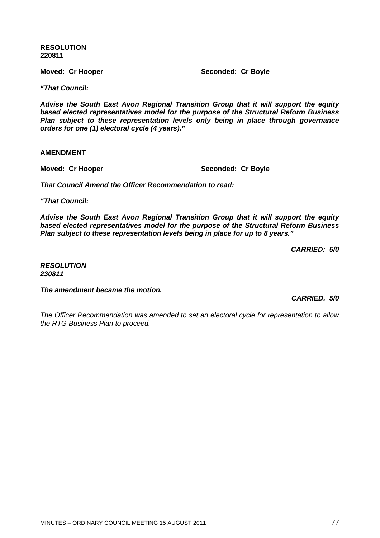**RESOLUTION 220811**

Moved: Cr Hooper Seconded: Cr Boyle

*"That Council:*

*Advise the South East Avon Regional Transition Group that it will support the equity based elected representatives model for the purpose of the Structural Reform Business Plan subject to these representation levels only being in place through governance orders for one (1) electoral cycle (4 years)."*

**AMENDMENT**

**Moved: Cr Hooper Seconded: Cr Boyle** 

*That Council Amend the Officer Recommendation to read:*

*"That Council:*

*Advise the South East Avon Regional Transition Group that it will support the equity based elected representatives model for the purpose of the Structural Reform Business Plan subject to these representation levels being in place for up to 8 years."*

*CARRIED: 5/0*

*RESOLUTION 230811*

*The amendment became the motion.*

*CARRIED. 5/0*

*The Officer Recommendation was amended to set an electoral cycle for representation to allow the RTG Business Plan to proceed.*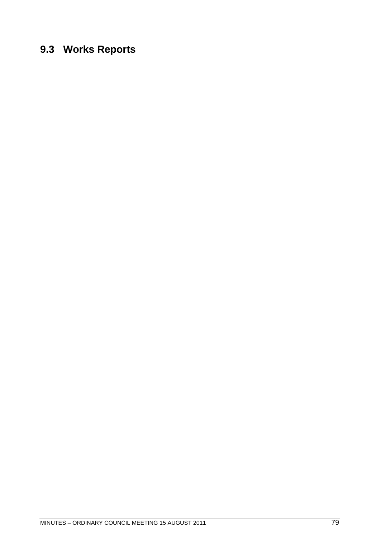# **9.3 Works Reports**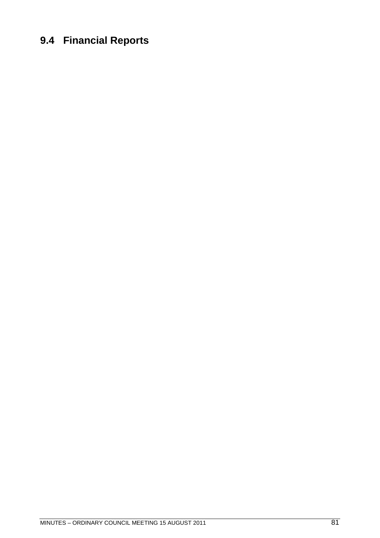# **9.4 Financial Reports**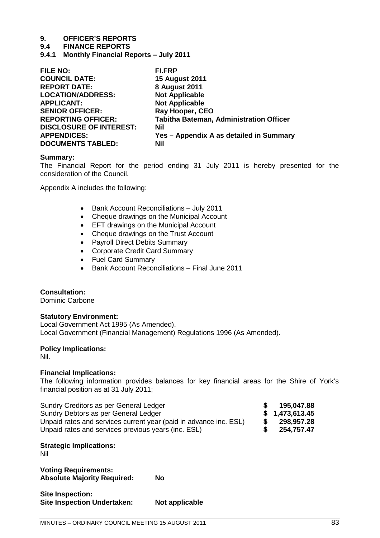## **9.4 FINANCE REPORTS**

**9.4.1 Monthly Financial Reports – July 2011**

| <b>FILE NO:</b>                | <b>FI.FRP</b>                                  |
|--------------------------------|------------------------------------------------|
| <b>COUNCIL DATE:</b>           | <b>15 August 2011</b>                          |
| <b>REPORT DATE:</b>            | 8 August 2011                                  |
| <b>LOCATION/ADDRESS:</b>       | <b>Not Applicable</b>                          |
| <b>APPLICANT:</b>              | <b>Not Applicable</b>                          |
| <b>SENIOR OFFICER:</b>         | Ray Hooper, CEO                                |
| <b>REPORTING OFFICER:</b>      | <b>Tabitha Bateman, Administration Officer</b> |
| <b>DISCLOSURE OF INTEREST:</b> | Nil                                            |
| <b>APPENDICES:</b>             | Yes - Appendix A as detailed in Summary        |
| <b>DOCUMENTS TABLED:</b>       | Nil                                            |
|                                |                                                |

#### **Summary:**

The Financial Report for the period ending 31 July 2011 is hereby presented for the consideration of the Council.

Appendix A includes the following:

- Bank Account Reconciliations July 2011
- Cheque drawings on the Municipal Account
- **EFT drawings on the Municipal Account**
- Cheque drawings on the Trust Account
- Payroll Direct Debits Summary
- Corporate Credit Card Summary
- Fuel Card Summary
- Bank Account Reconciliations Final June 2011

#### **Consultation:**

Dominic Carbone

#### **Statutory Environment:**

Local Government Act 1995 (As Amended). Local Government (Financial Management) Regulations 1996 (As Amended).

### **Policy Implications:**

Nil.

#### **Financial Implications:**

The following information provides balances for key financial areas for the Shire of York's financial position as at 31 July 2011;

| Sundry Creditors as per General Ledger                            | S.   | 195.047.88     |
|-------------------------------------------------------------------|------|----------------|
| Sundry Debtors as per General Ledger                              |      | \$1,473,613.45 |
| Unpaid rates and services current year (paid in advance inc. ESL) | - SS | 298.957.28     |
| Unpaid rates and services previous years (inc. ESL)               | S.   | 254,757.47     |

#### **Strategic Implications:**

Nil

**Voting Requirements: Absolute Majority Required: No**

| Site Inspection:                   |                |
|------------------------------------|----------------|
| <b>Site Inspection Undertaken:</b> | Not applicable |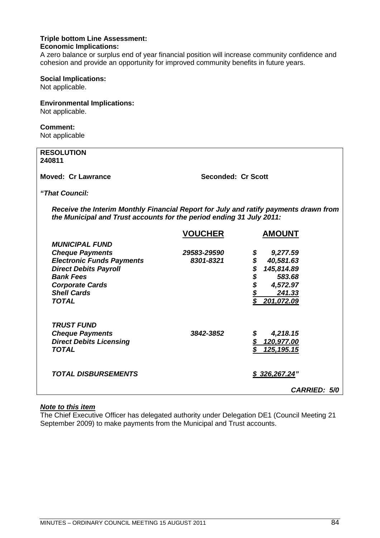#### **Triple bottom Line Assessment: Economic Implications:**

A zero balance or surplus end of year financial position will increase community confidence and cohesion and provide an opportunity for improved community benefits in future years.

#### **Social Implications:**

Not applicable.

# **Environmental Implications:**

Not applicable.

# **Comment:**

Not applicable

| <b>RESOLUTION</b><br>240811                                                                                                                                  |                    |                 |  |
|--------------------------------------------------------------------------------------------------------------------------------------------------------------|--------------------|-----------------|--|
| Moved: Cr Lawrance                                                                                                                                           | Seconded: Cr Scott |                 |  |
| "That Council:                                                                                                                                               |                    |                 |  |
| Receive the Interim Monthly Financial Report for July and ratify payments drawn from<br>the Municipal and Trust accounts for the period ending 31 July 2011: |                    |                 |  |
|                                                                                                                                                              | <b>VOUCHER</b>     | <b>AMOUNT</b>   |  |
| <b>MUNICIPAL FUND</b>                                                                                                                                        |                    |                 |  |
| <b>Cheque Payments</b>                                                                                                                                       | 29583-29590        | \$<br>9,277.59  |  |
| <b>Electronic Funds Payments</b>                                                                                                                             | 8301-8321          | \$<br>40,581.63 |  |
| <b>Direct Debits Payroll</b>                                                                                                                                 |                    | 145,814.89      |  |
| <b>Bank Fees</b>                                                                                                                                             |                    | \$<br>583.68    |  |
| <b>Corporate Cards</b>                                                                                                                                       |                    | \$<br>4,572.97  |  |
| <b>Shell Cards</b>                                                                                                                                           |                    | 241.33          |  |
| <b>TOTAL</b>                                                                                                                                                 |                    | 201,072.09      |  |

# *Note to this item*

*TRUST FUND*

The Chief Executive Officer has delegated authority under Delegation DE1 (Council Meeting 21 September 2009) to make payments from the Municipal and Trust accounts.

*Cheque Payments 3842-3852 \$ 4,218.15 Direct Debits Licensing \$ 120,977.00 TOTAL \$ 125,195.15*

*TOTAL DISBURSEMENTS \$ 326,267.24"*

*CARRIED: 5/0*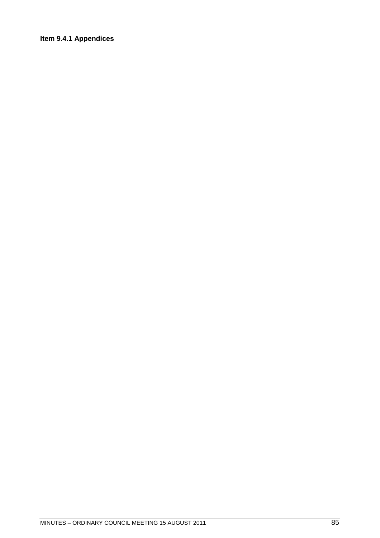# **Item 9.4.1 Appendices**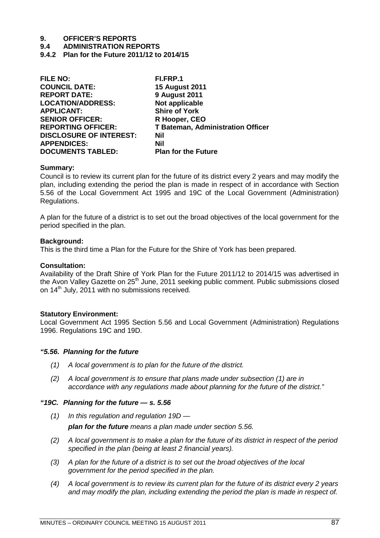**9.4 ADMINISTRATION REPORTS**

**9.4.2 Plan for the Future 2011/12 to 2014/15**

| FI.FRP.1                                 |
|------------------------------------------|
| <b>15 August 2011</b>                    |
| <b>9 August 2011</b>                     |
| Not applicable                           |
| <b>Shire of York</b>                     |
| R Hooper, CEO                            |
| <b>T Bateman, Administration Officer</b> |
| <b>Nil</b>                               |
| <b>Nil</b>                               |
| <b>Plan for the Future</b>               |
|                                          |

## **Summary:**

Council is to review its current plan for the future of its district every 2 years and may modify the plan, including extending the period the plan is made in respect of in accordance with Section 5.56 of the Local Government Act 1995 and 19C of the Local Government (Administration) Regulations.

A plan for the future of a district is to set out the broad objectives of the local government for the period specified in the plan.

## **Background:**

This is the third time a Plan for the Future for the Shire of York has been prepared.

## **Consultation:**

Availability of the Draft Shire of York Plan for the Future 2011/12 to 2014/15 was advertised in the Avon Valley Gazette on 25<sup>th</sup> June, 2011 seeking public comment. Public submissions closed on 14<sup>th</sup> July, 2011 with no submissions received.

#### **Statutory Environment:**

Local Government Act 1995 Section 5.56 and Local Government (Administration) Regulations 1996. Regulations 19C and 19D.

# *"5.56. Planning for the future*

- *(1) A local government is to plan for the future of the district.*
- *(2) A local government is to ensure that plans made under subsection (1) are in accordance with any regulations made about planning for the future of the district."*

#### *"19C. Planning for the future — s. 5.56*

- *(1) In this regulation and regulation 19D plan for the future means a plan made under section 5.56.*
- *(2) A local government is to make a plan for the future of its district in respect of the period specified in the plan (being at least 2 financial years).*
- *(3) A plan for the future of a district is to set out the broad objectives of the local government for the period specified in the plan.*
- *(4) A local government is to review its current plan for the future of its district every 2 years and may modify the plan, including extending the period the plan is made in respect of.*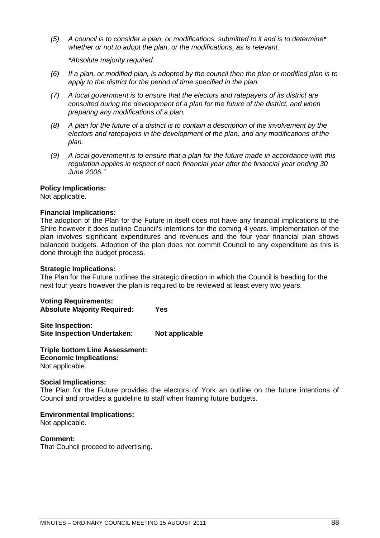*(5) A council is to consider a plan, or modifications, submitted to it and is to determine\* whether or not to adopt the plan, or the modifications, as is relevant.*

*\*Absolute majority required.*

- *(6) If a plan, or modified plan, is adopted by the council then the plan or modified plan is to apply to the district for the period of time specified in the plan.*
- *(7) A local government is to ensure that the electors and ratepayers of its district are consulted during the development of a plan for the future of the district, and when preparing any modifications of a plan.*
- *(8) A plan for the future of a district is to contain a description of the involvement by the electors and ratepayers in the development of the plan, and any modifications of the plan.*
- *(9) A local government is to ensure that a plan for the future made in accordance with this regulation applies in respect of each financial year after the financial year ending 30 June 2006."*

## **Policy Implications:**

Not applicable.

# **Financial Implications:**

The adoption of the Plan for the Future in itself does not have any financial implications to the Shire however it does outline Council's intentions for the coming 4 years. Implementation of the plan involves significant expenditures and revenues and the four year financial plan shows balanced budgets. Adoption of the plan does not commit Council to any expenditure as this is done through the budget process.

#### **Strategic Implications:**

The Plan for the Future outlines the strategic direction in which the Council is heading for the next four years however the plan is required to be reviewed at least every two years.

**Voting Requirements: Absolute Majority Required: Yes**

**Site Inspection: Site Inspection Undertaken: Not applicable** 

**Triple bottom Line Assessment: Economic Implications:** Not applicable.

#### **Social Implications:**

The Plan for the Future provides the electors of York an outline on the future intentions of Council and provides a guideline to staff when framing future budgets.

**Environmental Implications:**

Not applicable.

**Comment:**

That Council proceed to advertising.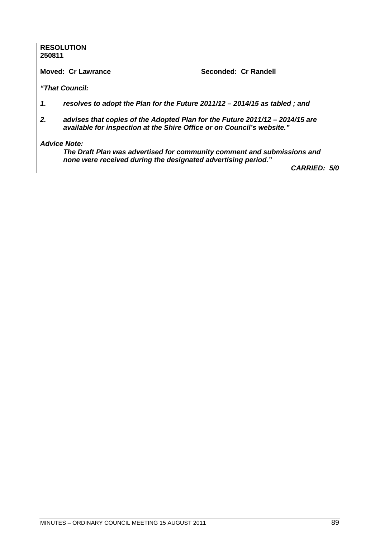#### **RESOLUTION 250811**

**Moved: Cr Lawrance Seconded: Cr Randell** 

*"That Council:*

- *1. resolves to adopt the Plan for the Future 2011/12 2014/15 as tabled ; and*
- *2. advises that copies of the Adopted Plan for the Future 2011/12 2014/15 are available for inspection at the Shire Office or on Council's website."*

*Advice Note:*

*The Draft Plan was advertised for community comment and submissions and none were received during the designated advertising period."*

*CARRIED: 5/0*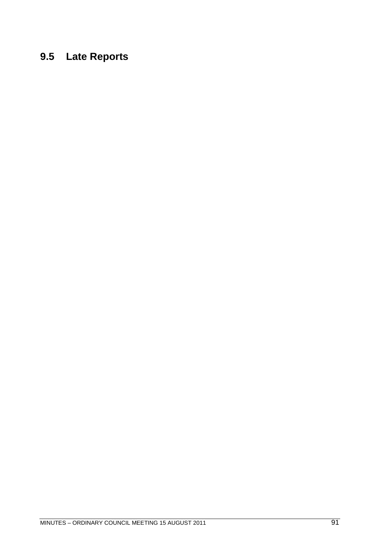# **9.5 Late Reports**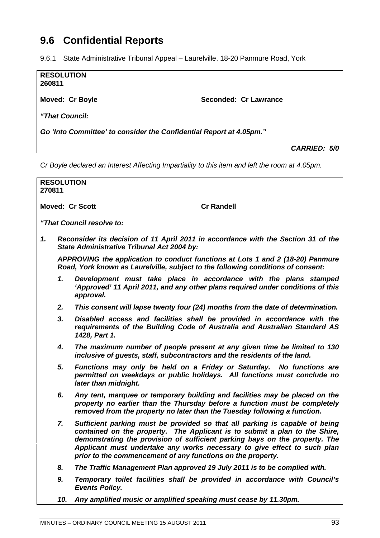# **9.6 Confidential Reports**

9.6.1 State Administrative Tribunal Appeal – Laurelville, 18-20 Panmure Road, York

| <b>RESOLUTION</b><br>260811                                         |                       |
|---------------------------------------------------------------------|-----------------------|
| <b>Moved: Cr Boyle</b>                                              | Seconded: Cr Lawrance |
| "That Council:                                                      |                       |
| Go 'Into Committee' to consider the Confidential Report at 4.05pm." |                       |

*CARRIED: 5/0*

*Cr Boyle declared an Interest Affecting Impartiality to this item and left the room at 4.05pm.*

| <b>RESOLUTION</b><br>270811                                                                                                                                        |     |                                                                                                                                                                                                                                                                                                                                                                                     |  |  |
|--------------------------------------------------------------------------------------------------------------------------------------------------------------------|-----|-------------------------------------------------------------------------------------------------------------------------------------------------------------------------------------------------------------------------------------------------------------------------------------------------------------------------------------------------------------------------------------|--|--|
|                                                                                                                                                                    |     |                                                                                                                                                                                                                                                                                                                                                                                     |  |  |
|                                                                                                                                                                    |     | <b>Moved: Cr Scott</b><br><b>Cr Randell</b>                                                                                                                                                                                                                                                                                                                                         |  |  |
|                                                                                                                                                                    |     | "That Council resolve to:                                                                                                                                                                                                                                                                                                                                                           |  |  |
| 1.                                                                                                                                                                 |     | Reconsider its decision of 11 April 2011 in accordance with the Section 31 of the<br>State Administrative Tribunal Act 2004 by:                                                                                                                                                                                                                                                     |  |  |
| APPROVING the application to conduct functions at Lots 1 and 2 (18-20) Panmure<br>Road, York known as Laurelville, subject to the following conditions of consent: |     |                                                                                                                                                                                                                                                                                                                                                                                     |  |  |
|                                                                                                                                                                    | 1.  | Development must take place in accordance with the plans stamped<br>'Approved' 11 April 2011, and any other plans required under conditions of this<br>approval.                                                                                                                                                                                                                    |  |  |
|                                                                                                                                                                    | 2.  | This consent will lapse twenty four (24) months from the date of determination.                                                                                                                                                                                                                                                                                                     |  |  |
|                                                                                                                                                                    | 3.  | Disabled access and facilities shall be provided in accordance with the<br>requirements of the Building Code of Australia and Australian Standard AS<br>1428, Part 1.                                                                                                                                                                                                               |  |  |
|                                                                                                                                                                    | 4.  | The maximum number of people present at any given time be limited to 130<br>inclusive of guests, staff, subcontractors and the residents of the land.                                                                                                                                                                                                                               |  |  |
|                                                                                                                                                                    | 5.  | Functions may only be held on a Friday or Saturday. No functions are<br>permitted on weekdays or public holidays. All functions must conclude no<br>later than midnight.                                                                                                                                                                                                            |  |  |
|                                                                                                                                                                    | 6.  | Any tent, marquee or temporary building and facilities may be placed on the<br>property no earlier than the Thursday before a function must be completely<br>removed from the property no later than the Tuesday following a function.                                                                                                                                              |  |  |
|                                                                                                                                                                    | 7.  | Sufficient parking must be provided so that all parking is capable of being<br>contained on the property. The Applicant is to submit a plan to the Shire,<br>demonstrating the provision of sufficient parking bays on the property. The<br>Applicant must undertake any works necessary to give effect to such plan<br>prior to the commencement of any functions on the property. |  |  |
|                                                                                                                                                                    | 8.  | The Traffic Management Plan approved 19 July 2011 is to be complied with.                                                                                                                                                                                                                                                                                                           |  |  |
|                                                                                                                                                                    | 9.  | Temporary toilet facilities shall be provided in accordance with Council's<br><b>Events Policy.</b>                                                                                                                                                                                                                                                                                 |  |  |
|                                                                                                                                                                    | 10. | Any amplified music or amplified speaking must cease by 11.30pm.                                                                                                                                                                                                                                                                                                                    |  |  |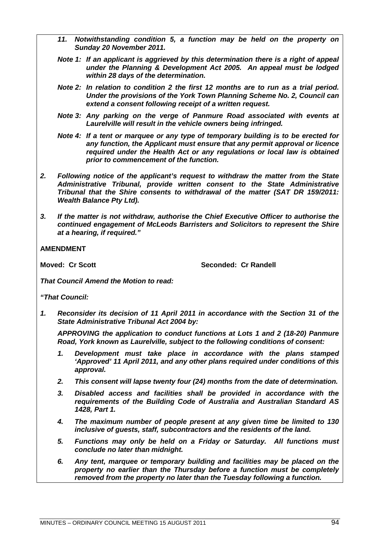- *11. Notwithstanding condition 5, a function may be held on the property on Sunday 20 November 2011.*
- *Note 1: If an applicant is aggrieved by this determination there is a right of appeal under the Planning & Development Act 2005. An appeal must be lodged within 28 days of the determination.*
- *Note 2: In relation to condition 2 the first 12 months are to run as a trial period. Under the provisions of the York Town Planning Scheme No. 2, Council can extend a consent following receipt of a written request.*
- *Note 3: Any parking on the verge of Panmure Road associated with events at Laurelville will result in the vehicle owners being infringed.*
- *Note 4: If a tent or marquee or any type of temporary building is to be erected for any function, the Applicant must ensure that any permit approval or licence required under the Health Act or any regulations or local law is obtained prior to commencement of the function.*
- *2. Following notice of the applicant's request to withdraw the matter from the State Administrative Tribunal, provide written consent to the State Administrative Tribunal that the Shire consents to withdrawal of the matter (SAT DR 159/2011: Wealth Balance Pty Ltd).*
- *3. If the matter is not withdraw, authorise the Chief Executive Officer to authorise the continued engagement of McLeods Barristers and Solicitors to represent the Shire at a hearing, if required."*

**AMENDMENT**

**Moved: Cr Scott** Seconded: Cr Randell

*That Council Amend the Motion to read:*

*"That Council:*

*1. Reconsider its decision of 11 April 2011 in accordance with the Section 31 of the State Administrative Tribunal Act 2004 by:*

*APPROVING the application to conduct functions at Lots 1 and 2 (18-20) Panmure Road, York known as Laurelville, subject to the following conditions of consent:*

- *1. Development must take place in accordance with the plans stamped 'Approved' 11 April 2011, and any other plans required under conditions of this approval.*
- *2. This consent will lapse twenty four (24) months from the date of determination.*
- *3. Disabled access and facilities shall be provided in accordance with the requirements of the Building Code of Australia and Australian Standard AS 1428, Part 1.*
- *4. The maximum number of people present at any given time be limited to 130 inclusive of guests, staff, subcontractors and the residents of the land.*
- *5. Functions may only be held on a Friday or Saturday. All functions must conclude no later than midnight.*
- *6. Any tent, marquee or temporary building and facilities may be placed on the property no earlier than the Thursday before a function must be completely removed from the property no later than the Tuesday following a function.*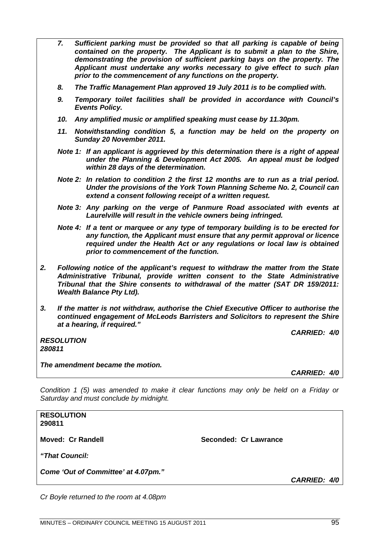- *7. Sufficient parking must be provided so that all parking is capable of being contained on the property. The Applicant is to submit a plan to the Shire, demonstrating the provision of sufficient parking bays on the property. The Applicant must undertake any works necessary to give effect to such plan prior to the commencement of any functions on the property.*
- *8. The Traffic Management Plan approved 19 July 2011 is to be complied with.*
- *9. Temporary toilet facilities shall be provided in accordance with Council's Events Policy.*
- *10. Any amplified music or amplified speaking must cease by 11.30pm.*
- *11. Notwithstanding condition 5, a function may be held on the property on Sunday 20 November 2011.*
- *Note 1: If an applicant is aggrieved by this determination there is a right of appeal under the Planning & Development Act 2005. An appeal must be lodged within 28 days of the determination.*
- *Note 2: In relation to condition 2 the first 12 months are to run as a trial period. Under the provisions of the York Town Planning Scheme No. 2, Council can extend a consent following receipt of a written request.*
- *Note 3: Any parking on the verge of Panmure Road associated with events at Laurelville will result in the vehicle owners being infringed.*

*Note 4: If a tent or marquee or any type of temporary building is to be erected for any function, the Applicant must ensure that any permit approval or licence required under the Health Act or any regulations or local law is obtained prior to commencement of the function.*

- *2. Following notice of the applicant's request to withdraw the matter from the State Administrative Tribunal, provide written consent to the State Administrative Tribunal that the Shire consents to withdrawal of the matter (SAT DR 159/2011: Wealth Balance Pty Ltd).*
- *3. If the matter is not withdraw, authorise the Chief Executive Officer to authorise the continued engagement of McLeods Barristers and Solicitors to represent the Shire at a hearing, if required."*

*CARRIED: 4/0*

*RESOLUTION 280811*

*The amendment became the motion.*

*CARRIED: 4/0*

*Condition 1 (5) was amended to make it clear functions may only be held on a Friday or Saturday and must conclude by midnight.*

**RESOLUTION 290811 Moved: Cr Randell Seconded: Cr Lawrance** *"That Council: Come 'Out of Committee' at 4.07pm." CARRIED: 4/0*

*Cr Boyle returned to the room at 4.08pm*